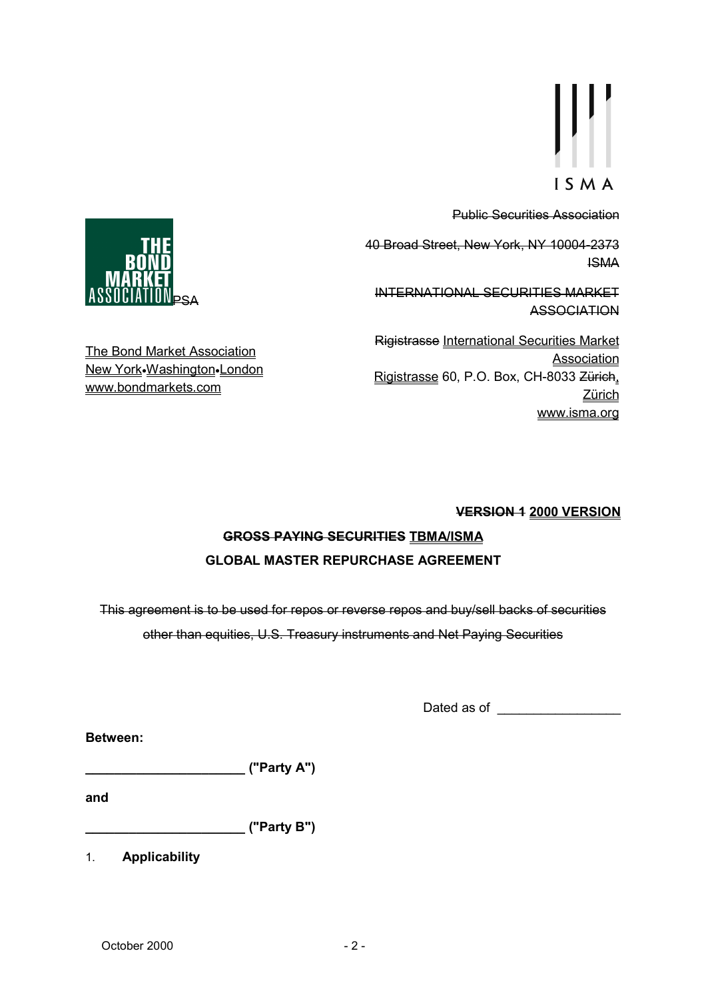

Public Securities Association

40 Broad Street, New York, NY 10004-2373 ISMA

INTERNATIONAL SECURITIES MARKET **ASSOCIATION** 

Rigistrasse International Securities Market Association Rigistrasse 60, P.O. Box, CH-8033 Zürich, **Zürich** www.isma.org



The Bond Market Association New York•Washington•London www.bondmarkets.com

## **VERSION 1 2000 VERSION**

# **GROSS PAYING SECURITIES TBMA/ISMA GLOBAL MASTER REPURCHASE AGREEMENT**

This agreement is to be used for repos or reverse repos and buy/sell backs of securities other than equities, U.S. Treasury instruments and Net Paying Securities

Dated as of **Dates** 

**Between:**

**\_\_\_\_\_\_\_\_\_\_\_\_\_\_\_\_\_\_\_\_\_\_ ("Party A")**

**and**

**\_\_\_\_\_\_\_\_\_\_\_\_\_\_\_\_\_\_\_\_\_\_ ("Party B")**

1. **Applicability**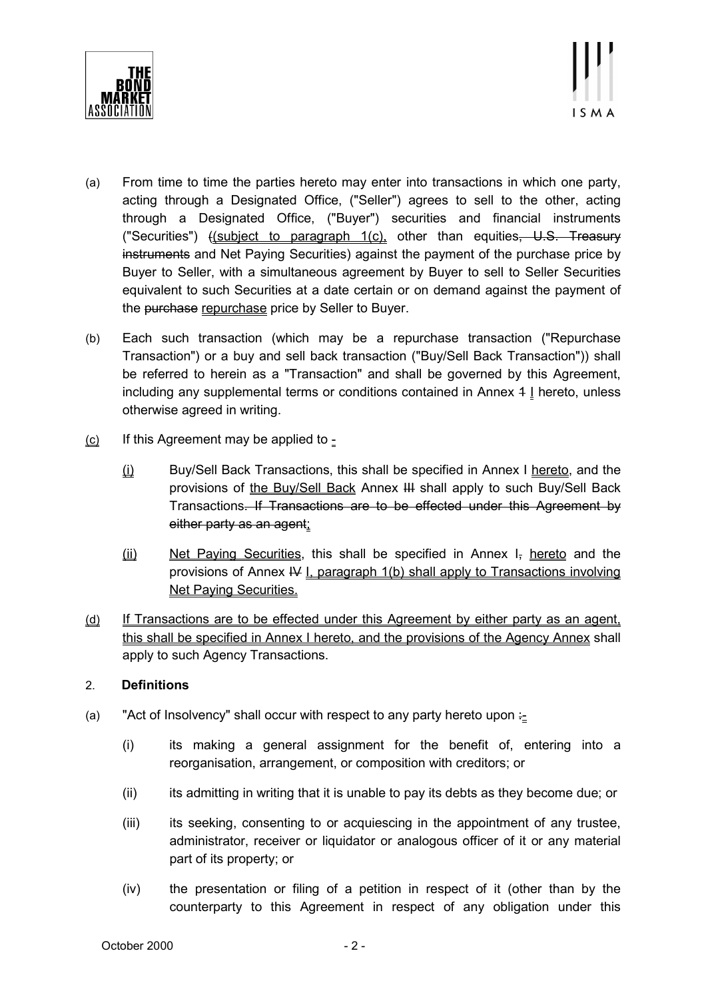

- (a) From time to time the parties hereto may enter into transactions in which one party, acting through a Designated Office, ("Seller") agrees to sell to the other, acting through a Designated Office, ("Buyer") securities and financial instruments ("Securities") ((subject to paragraph 1(c), other than equities, U.S. Treasury instruments and Net Paying Securities) against the payment of the purchase price by Buyer to Seller, with a simultaneous agreement by Buyer to sell to Seller Securities equivalent to such Securities at a date certain or on demand against the payment of the purchase repurchase price by Seller to Buyer.
- (b) Each such transaction (which may be a repurchase transaction ("Repurchase Transaction") or a buy and sell back transaction ("Buy/Sell Back Transaction")) shall be referred to herein as a "Transaction" and shall be governed by this Agreement, including any supplemental terms or conditions contained in Annex 1 I hereto, unless otherwise agreed in writing.
- $(c)$  If this Agreement may be applied to  $\frac{1}{2}$ 
	- (i) Buy/Sell Back Transactions, this shall be specified in Annex I hereto, and the provisions of the Buy/Sell Back Annex III shall apply to such Buy/Sell Back Transactions. If Transactions are to be effected under this Agreement by either party as an agent;
	- $(iii)$  Net Paying Securities, this shall be specified in Annex I<sub>r</sub> hereto and the provisions of Annex IV I, paragraph 1(b) shall apply to Transactions involving Net Paying Securities.
- (d) If Transactions are to be effected under this Agreement by either party as an agent, this shall be specified in Annex I hereto, and the provisions of the Agency Annex shall apply to such Agency Transactions.

## 2. **Definitions**

- (a) "Act of Insolvency" shall occur with respect to any party hereto upon  $\div$ 
	- (i) its making a general assignment for the benefit of, entering into a reorganisation, arrangement, or composition with creditors; or
	- $(ii)$  its admitting in writing that it is unable to pay its debts as they become due; or
	- (iii) its seeking, consenting to or acquiescing in the appointment of any trustee, administrator, receiver or liquidator or analogous officer of it or any material part of its property; or
	- (iv) the presentation or filing of a petition in respect of it (other than by the counterparty to this Agreement in respect of any obligation under this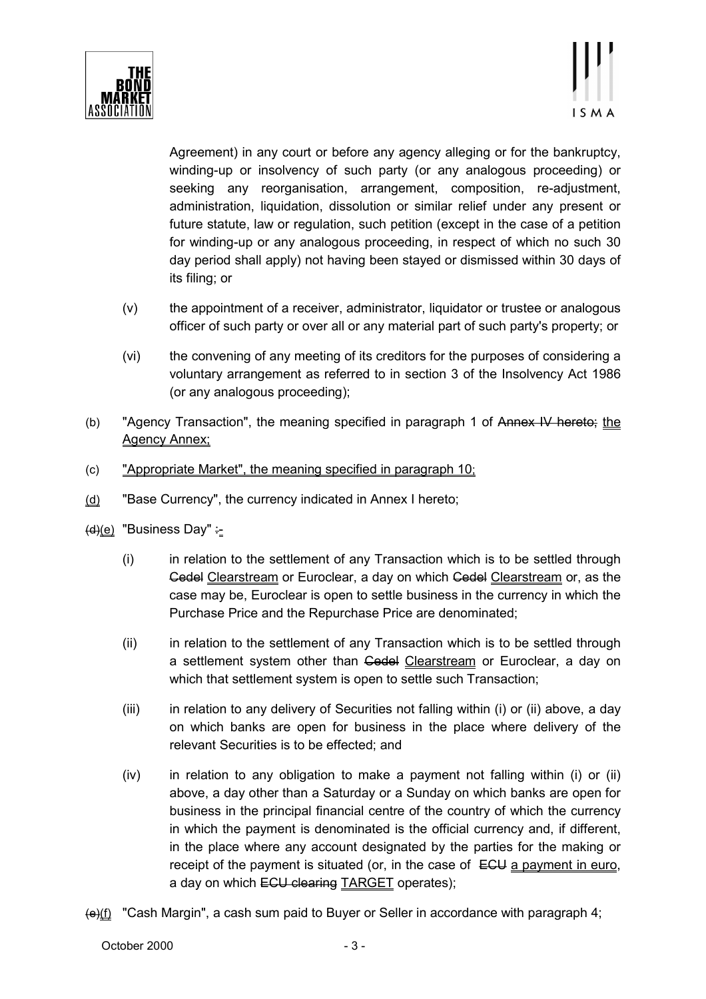

Agreement) in any court or before any agency alleging or for the bankruptcy, winding-up or insolvency of such party (or any analogous proceeding) or seeking any reorganisation, arrangement, composition, re-adjustment, administration, liquidation, dissolution or similar relief under any present or future statute, law or regulation, such petition (except in the case of a petition for winding-up or any analogous proceeding, in respect of which no such 30 day period shall apply) not having been stayed or dismissed within 30 days of its filing; or

- (v) the appointment of a receiver, administrator, liquidator or trustee or analogous officer of such party or over all or any material part of such party's property; or
- (vi) the convening of any meeting of its creditors for the purposes of considering a voluntary arrangement as referred to in section 3 of the Insolvency Act 1986 (or any analogous proceeding);
- (b) "Agency Transaction", the meaning specified in paragraph 1 of Annex IV hereto; the Agency Annex;
- (c) "Appropriate Market", the meaning specified in paragraph 10;
- (d) "Base Currency", the currency indicated in Annex I hereto;
- $(d)(e)$  "Business Day" :-
	- (i) in relation to the settlement of any Transaction which is to be settled through Cedel Clearstream or Euroclear, a day on which Cedel Clearstream or, as the case may be, Euroclear is open to settle business in the currency in which the Purchase Price and the Repurchase Price are denominated;
	- (ii) in relation to the settlement of any Transaction which is to be settled through a settlement system other than Cedel Clearstream or Euroclear, a day on which that settlement system is open to settle such Transaction;
	- (iii) in relation to any delivery of Securities not falling within (i) or (ii) above, a day on which banks are open for business in the place where delivery of the relevant Securities is to be effected; and
	- (iv) in relation to any obligation to make a payment not falling within (i) or (ii) above, a day other than a Saturday or a Sunday on which banks are open for business in the principal financial centre of the country of which the currency in which the payment is denominated is the official currency and, if different, in the place where any account designated by the parties for the making or receipt of the payment is situated (or, in the case of ECU a payment in euro, a day on which ECU clearing TARGET operates);
- $\left(\frac{e}{f}\right)$  "Cash Margin", a cash sum paid to Buyer or Seller in accordance with paragraph 4;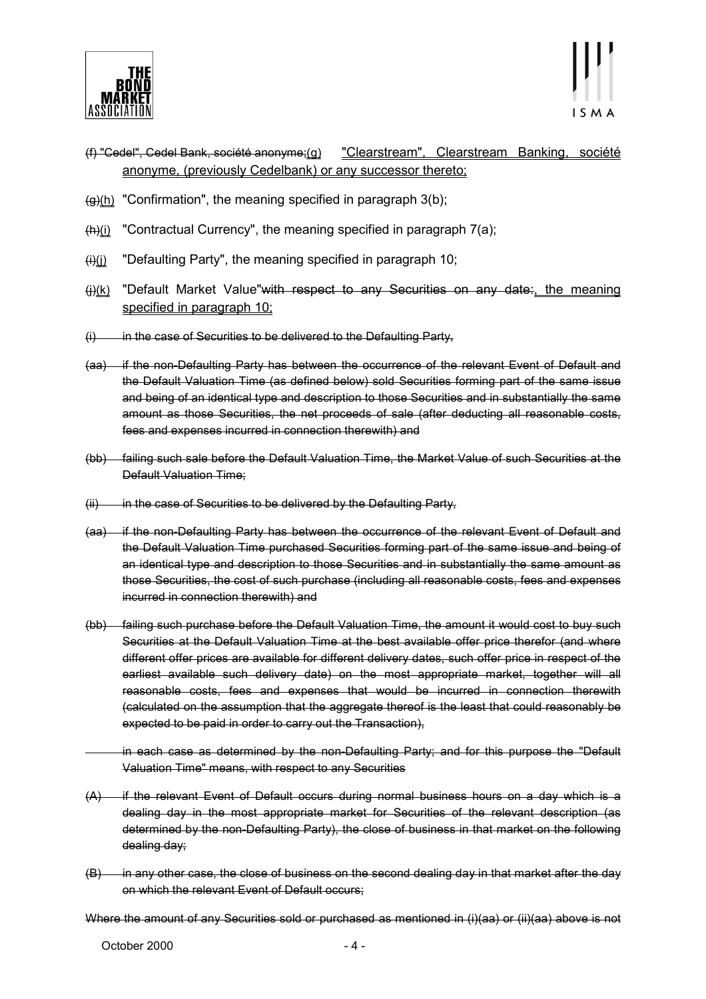

## (f) "Cedel", Cedel Bank, société anonyme;(g) "Clearstream", Clearstream Banking, société anonyme, (previously Cedelbank) or any successor thereto;

- $(g)(h)$  "Confirmation", the meaning specified in paragraph 3(b);
- $(h)(i)$  "Contractual Currency", the meaning specified in paragraph  $7(a)$ ;
- $(i)$ (i) "Defaulting Party", the meaning specified in paragraph 10;
- $(i)$ (i)(k) "Default Market Value"with respect to any Securities on any date:, the meaning specified in paragraph 10;
- $(i)$  in the case of Securities to be delivered to the Defaulting Party,
- (aa) if the non-Defaulting Party has between the occurrence of the relevant Event of Default and the Default Valuation Time (as defined below) sold Securities forming part of the same issue and being of an identical type and description to those Securities and in substantially the same amount as those Securities, the net proceeds of sale (after deducting all reasonable costs, fees and expenses incurred in connection therewith) and
- (bb) failing such sale before the Default Valuation Time, the Market Value of such Securities at the Default Valuation Time;
- (ii) in the case of Securities to be delivered by the Defaulting Party,
- (aa) if the non-Defaulting Party has between the occurrence of the relevant Event of Default and the Default Valuation Time purchased Securities forming part of the same issue and being of an identical type and description to those Securities and in substantially the same amount as those Securities, the cost of such purchase (including all reasonable costs, fees and expenses incurred in connection therewith) and
- (bb) failing such purchase before the Default Valuation Time, the amount it would cost to buy such Securities at the Default Valuation Time at the best available offer price therefor (and where different offer prices are available for different delivery dates, such offer price in respect of the earliest available such delivery date) on the most appropriate market, together will all reasonable costs, fees and expenses that would be incurred in connection therewith (calculated on the assumption that the aggregate thereof is the least that could reasonably be expected to be paid in order to carry out the Transaction),
- in each case as determined by the non-Defaulting Party; and for this purpose the "Default Valuation Time" means, with respect to any Securities
- (A) if the relevant Event of Default occurs during normal business hours on a day which is a dealing day in the most appropriate market for Securities of the relevant description (as determined by the non-Defaulting Party), the close of business in that market on the following dealing day;
- (B) in any other case, the close of business on the second dealing day in that market after the day on which the relevant Event of Default occurs;

Where the amount of any Securities sold or purchased as mentioned in (i)(aa) or (ii)(aa) above is not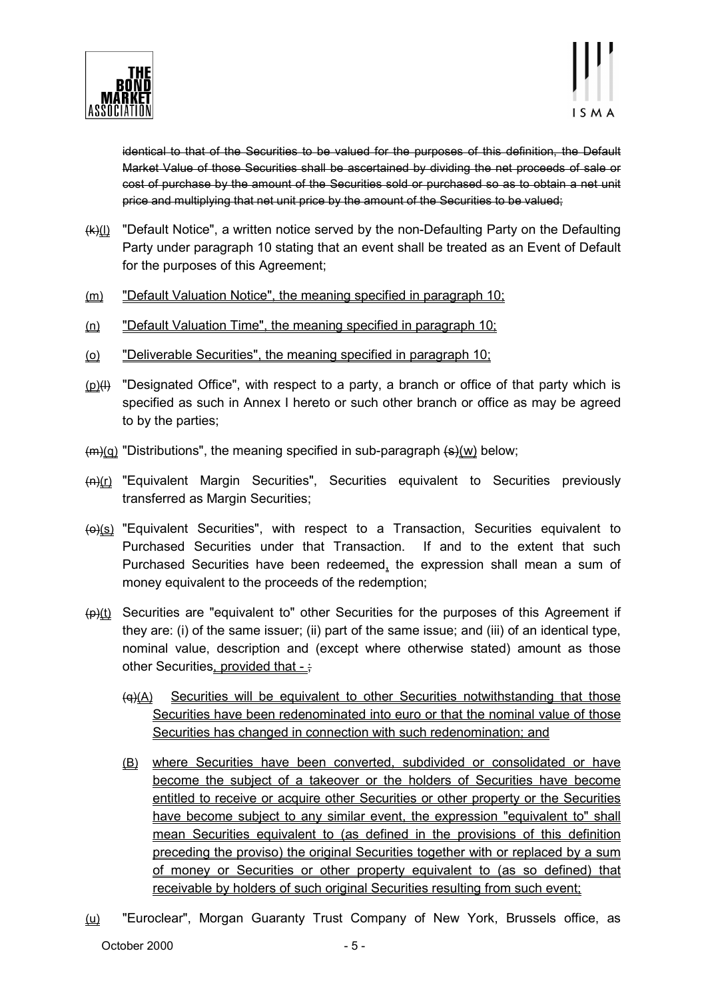

identical to that of the Securities to be valued for the purposes of this definition, the Default Market Value of those Securities shall be ascertained by dividing the net proceeds of sale or cost of purchase by the amount of the Securities sold or purchased so as to obtain a net unit price and multiplying that net unit price by the amount of the Securities to be valued;

- $(k)(l)$  "Default Notice", a written notice served by the non-Defaulting Party on the Defaulting Party under paragraph 10 stating that an event shall be treated as an Event of Default for the purposes of this Agreement;
- (m) "Default Valuation Notice", the meaning specified in paragraph 10;
- (n) "Default Valuation Time", the meaning specified in paragraph 10;
- (o) "Deliverable Securities", the meaning specified in paragraph 10;
- $(p)$ (H) "Designated Office", with respect to a party, a branch or office of that party which is specified as such in Annex I hereto or such other branch or office as may be agreed to by the parties;
- $(m)(q)$  "Distributions", the meaning specified in sub-paragraph  $(s)(w)$  below;
- $(n)(r)$  "Equivalent Margin Securities", Securities equivalent to Securities previously transferred as Margin Securities;
- $\left(\frac{\Theta}{\Theta}\right)$  "Equivalent Securities", with respect to a Transaction, Securities equivalent to Purchased Securities under that Transaction. If and to the extent that such Purchased Securities have been redeemed, the expression shall mean a sum of money equivalent to the proceeds of the redemption;
- $(p)(t)$  Securities are "equivalent to" other Securities for the purposes of this Agreement if they are: (i) of the same issuer; (ii) part of the same issue; and (iii) of an identical type, nominal value, description and (except where otherwise stated) amount as those other Securities, provided that  $-\frac{1}{2}$ 
	- (q)(A) Securities will be equivalent to other Securities notwithstanding that those Securities have been redenominated into euro or that the nominal value of those Securities has changed in connection with such redenomination; and
	- (B) where Securities have been converted, subdivided or consolidated or have become the subject of a takeover or the holders of Securities have become entitled to receive or acquire other Securities or other property or the Securities have become subject to any similar event, the expression "equivalent to" shall mean Securities equivalent to (as defined in the provisions of this definition preceding the proviso) the original Securities together with or replaced by a sum of money or Securities or other property equivalent to (as so defined) that receivable by holders of such original Securities resulting from such event;
- (u) "Euroclear", Morgan Guaranty Trust Company of New York, Brussels office, as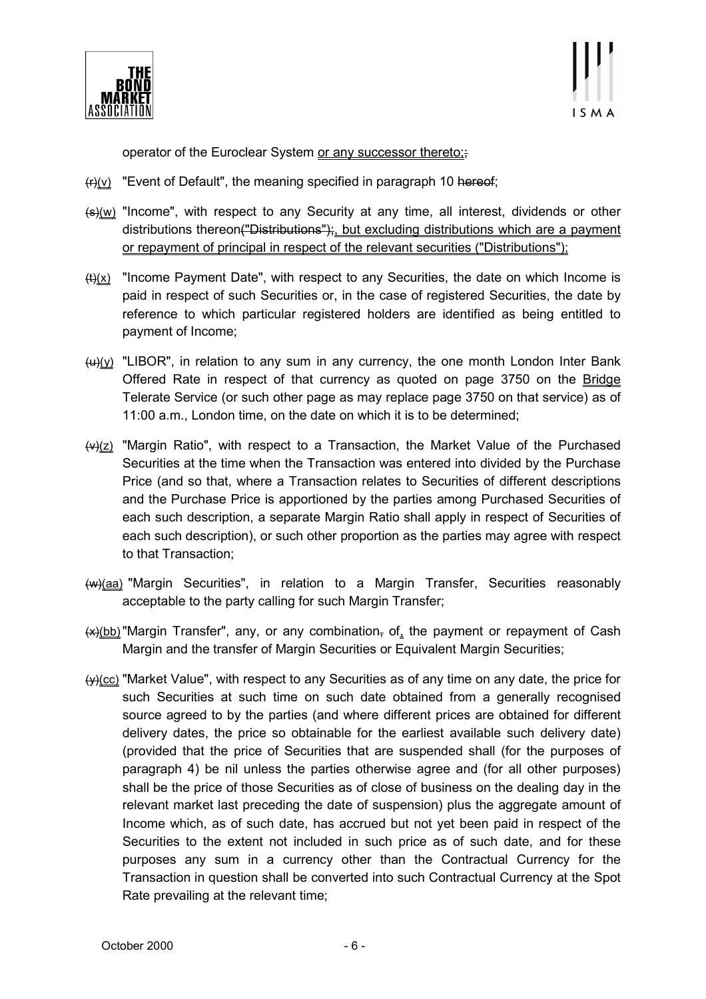

operator of the Euroclear System or any successor thereto;;

- $(F)(y)$  "Event of Default", the meaning specified in paragraph 10 hereof;
- $\frac{1}{5}(x)$  "Income", with respect to any Security at any time, all interest, dividends or other distributions thereon<del>("Distributions");</del>, but excluding distributions which are a payment or repayment of principal in respect of the relevant securities ("Distributions");
- $H(x)$  "Income Payment Date", with respect to any Securities, the date on which Income is paid in respect of such Securities or, in the case of registered Securities, the date by reference to which particular registered holders are identified as being entitled to payment of Income;
- $(u)(y)$  "LIBOR", in relation to any sum in any currency, the one month London Inter Bank Offered Rate in respect of that currency as quoted on page 3750 on the Bridge Telerate Service (or such other page as may replace page 3750 on that service) as of 11:00 a.m., London time, on the date on which it is to be determined;
- $(x)(z)$  "Margin Ratio", with respect to a Transaction, the Market Value of the Purchased Securities at the time when the Transaction was entered into divided by the Purchase Price (and so that, where a Transaction relates to Securities of different descriptions and the Purchase Price is apportioned by the parties among Purchased Securities of each such description, a separate Margin Ratio shall apply in respect of Securities of each such description), or such other proportion as the parties may agree with respect to that Transaction;
- (w)(aa) "Margin Securities", in relation to a Margin Transfer, Securities reasonably acceptable to the party calling for such Margin Transfer;
- $(x)$ (bb) "Margin Transfer", any, or any combination, of the payment or repayment of Cash Margin and the transfer of Margin Securities or Equivalent Margin Securities;
- (y)(cc) "Market Value", with respect to any Securities as of any time on any date, the price for such Securities at such time on such date obtained from a generally recognised source agreed to by the parties (and where different prices are obtained for different delivery dates, the price so obtainable for the earliest available such delivery date) (provided that the price of Securities that are suspended shall (for the purposes of paragraph 4) be nil unless the parties otherwise agree and (for all other purposes) shall be the price of those Securities as of close of business on the dealing day in the relevant market last preceding the date of suspension) plus the aggregate amount of Income which, as of such date, has accrued but not yet been paid in respect of the Securities to the extent not included in such price as of such date, and for these purposes any sum in a currency other than the Contractual Currency for the Transaction in question shall be converted into such Contractual Currency at the Spot Rate prevailing at the relevant time;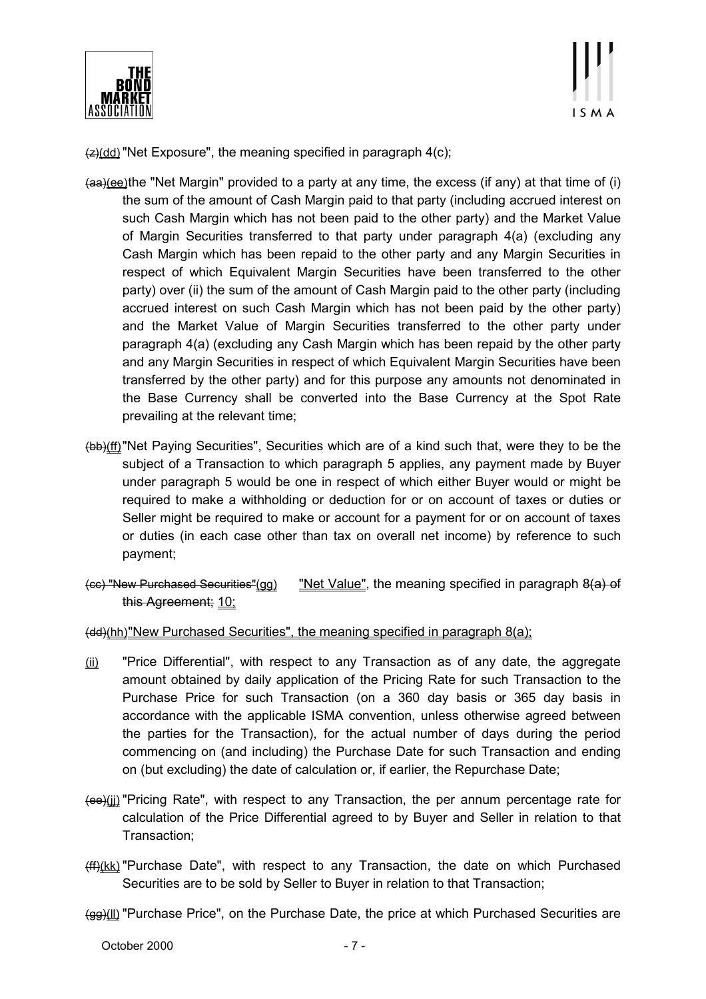

 $\left\langle \frac{1}{2}\right\rangle$  (dd) "Net Exposure", the meaning specified in paragraph 4(c);

- $(aa)(ee)$ the "Net Margin" provided to a party at any time, the excess (if any) at that time of (i) the sum of the amount of Cash Margin paid to that party (including accrued interest on such Cash Margin which has not been paid to the other party) and the Market Value of Margin Securities transferred to that party under paragraph 4(a) (excluding any Cash Margin which has been repaid to the other party and any Margin Securities in respect of which Equivalent Margin Securities have been transferred to the other party) over (ii) the sum of the amount of Cash Margin paid to the other party (including accrued interest on such Cash Margin which has not been paid by the other party) and the Market Value of Margin Securities transferred to the other party under paragraph 4(a) (excluding any Cash Margin which has been repaid by the other party and any Margin Securities in respect of which Equivalent Margin Securities have been transferred by the other party) and for this purpose any amounts not denominated in the Base Currency shall be converted into the Base Currency at the Spot Rate prevailing at the relevant time;
- (bb)(ff)"Net Paying Securities", Securities which are of a kind such that, were they to be the subject of a Transaction to which paragraph 5 applies, any payment made by Buyer under paragraph 5 would be one in respect of which either Buyer would or might be required to make a withholding or deduction for or on account of taxes or duties or Seller might be required to make or account for a payment for or on account of taxes or duties (in each case other than tax on overall net income) by reference to such payment;
- (cc) "New Purchased Securities"(gg) "Net Value", the meaning specified in paragraph 8(a) of this Agreement; 10;

(dd)(hh)"New Purchased Securities", the meaning specified in paragraph 8(a);

- (ii) "Price Differential", with respect to any Transaction as of any date, the aggregate amount obtained by daily application of the Pricing Rate for such Transaction to the Purchase Price for such Transaction (on a 360 day basis or 365 day basis in accordance with the applicable ISMA convention, unless otherwise agreed between the parties for the Transaction), for the actual number of days during the period commencing on (and including) the Purchase Date for such Transaction and ending on (but excluding) the date of calculation or, if earlier, the Repurchase Date;
- (ee)(jj) "Pricing Rate", with respect to any Transaction, the per annum percentage rate for calculation of the Price Differential agreed to by Buyer and Seller in relation to that Transaction;
- (ff)(kk) "Purchase Date", with respect to any Transaction, the date on which Purchased Securities are to be sold by Seller to Buyer in relation to that Transaction;

(gg)(II) "Purchase Price", on the Purchase Date, the price at which Purchased Securities are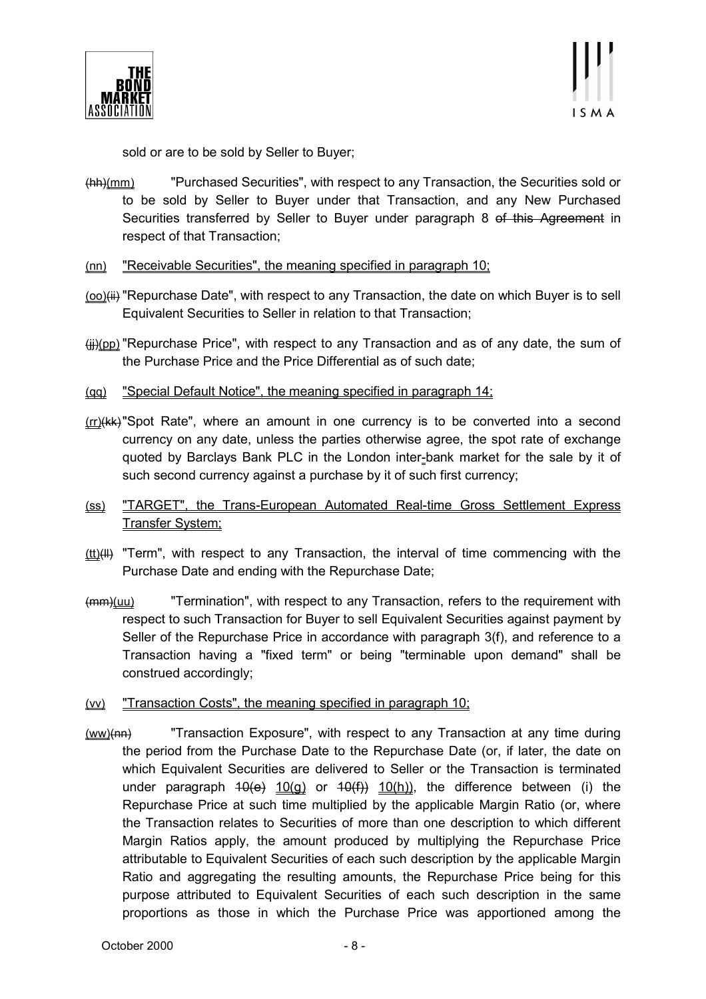

sold or are to be sold by Seller to Buyer;

(hh)(mm) "Purchased Securities", with respect to any Transaction, the Securities sold or to be sold by Seller to Buyer under that Transaction, and any New Purchased Securities transferred by Seller to Buyer under paragraph 8 of this Agreement in respect of that Transaction;

#### (nn) "Receivable Securities", the meaning specified in paragraph 10;

- $(0)$ (iii) "Repurchase Date", with respect to any Transaction, the date on which Buyer is to sell Equivalent Securities to Seller in relation to that Transaction;
- (iii)(pp) "Repurchase Price", with respect to any Transaction and as of any date, the sum of the Purchase Price and the Price Differential as of such date;

#### (qq) "Special Default Notice", the meaning specified in paragraph 14;

- (rr)(kk)"Spot Rate", where an amount in one currency is to be converted into a second currency on any date, unless the parties otherwise agree, the spot rate of exchange quoted by Barclays Bank PLC in the London inter-bank market for the sale by it of such second currency against a purchase by it of such first currency;
- (ss) "TARGET", the Trans-European Automated Real-time Gross Settlement Express Transfer System;
- $(t)$ <sub>(tt)</sub>( $\mu$ ) "Term", with respect to any Transaction, the interval of time commencing with the Purchase Date and ending with the Repurchase Date;
- $(mm)(uu)$  "Termination", with respect to any Transaction, refers to the requirement with respect to such Transaction for Buyer to sell Equivalent Securities against payment by Seller of the Repurchase Price in accordance with paragraph 3(f), and reference to a Transaction having a "fixed term" or being "terminable upon demand" shall be construed accordingly;

#### (vv) "Transaction Costs", the meaning specified in paragraph 10;

 $(ww)(nn)$  "Transaction Exposure", with respect to any Transaction at any time during the period from the Purchase Date to the Repurchase Date (or, if later, the date on which Equivalent Securities are delivered to Seller or the Transaction is terminated under paragraph  $10(e)$   $10(q)$  or  $10(f)$ )  $10(h)$ ), the difference between (i) the Repurchase Price at such time multiplied by the applicable Margin Ratio (or, where the Transaction relates to Securities of more than one description to which different Margin Ratios apply, the amount produced by multiplying the Repurchase Price attributable to Equivalent Securities of each such description by the applicable Margin Ratio and aggregating the resulting amounts, the Repurchase Price being for this purpose attributed to Equivalent Securities of each such description in the same proportions as those in which the Purchase Price was apportioned among the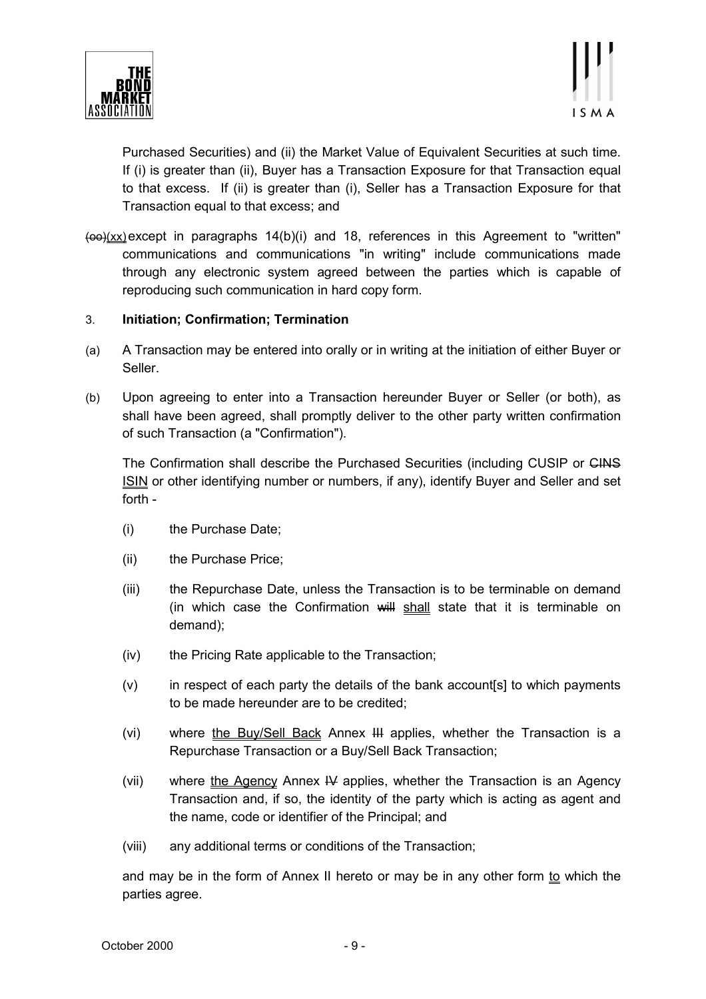

Purchased Securities) and (ii) the Market Value of Equivalent Securities at such time. If (i) is greater than (ii), Buyer has a Transaction Exposure for that Transaction equal to that excess. If (ii) is greater than (i), Seller has a Transaction Exposure for that Transaction equal to that excess; and

 $(0, \frac{\partial \phi}{\partial x})$  except in paragraphs  $14(b)(i)$  and 18, references in this Agreement to "written" communications and communications "in writing" include communications made through any electronic system agreed between the parties which is capable of reproducing such communication in hard copy form.

#### 3. **Initiation; Confirmation; Termination**

- (a) A Transaction may be entered into orally or in writing at the initiation of either Buyer or Seller.
- (b) Upon agreeing to enter into a Transaction hereunder Buyer or Seller (or both), as shall have been agreed, shall promptly deliver to the other party written confirmation of such Transaction (a "Confirmation").

The Confirmation shall describe the Purchased Securities (including CUSIP or CINS ISIN or other identifying number or numbers, if any), identify Buyer and Seller and set forth -

- (i) the Purchase Date;
- (ii) the Purchase Price;
- (iii) the Repurchase Date, unless the Transaction is to be terminable on demand (in which case the Confirmation will shall state that it is terminable on demand);
- (iv) the Pricing Rate applicable to the Transaction;
- (v) in respect of each party the details of the bank account[s] to which payments to be made hereunder are to be credited;
- (vi) where the Buy/Sell Back Annex III applies, whether the Transaction is a Repurchase Transaction or a Buy/Sell Back Transaction;
- (vii) where the Agency Annex  $W$  applies, whether the Transaction is an Agency Transaction and, if so, the identity of the party which is acting as agent and the name, code or identifier of the Principal; and
- (viii) any additional terms or conditions of the Transaction;

and may be in the form of Annex II hereto or may be in any other form to which the parties agree.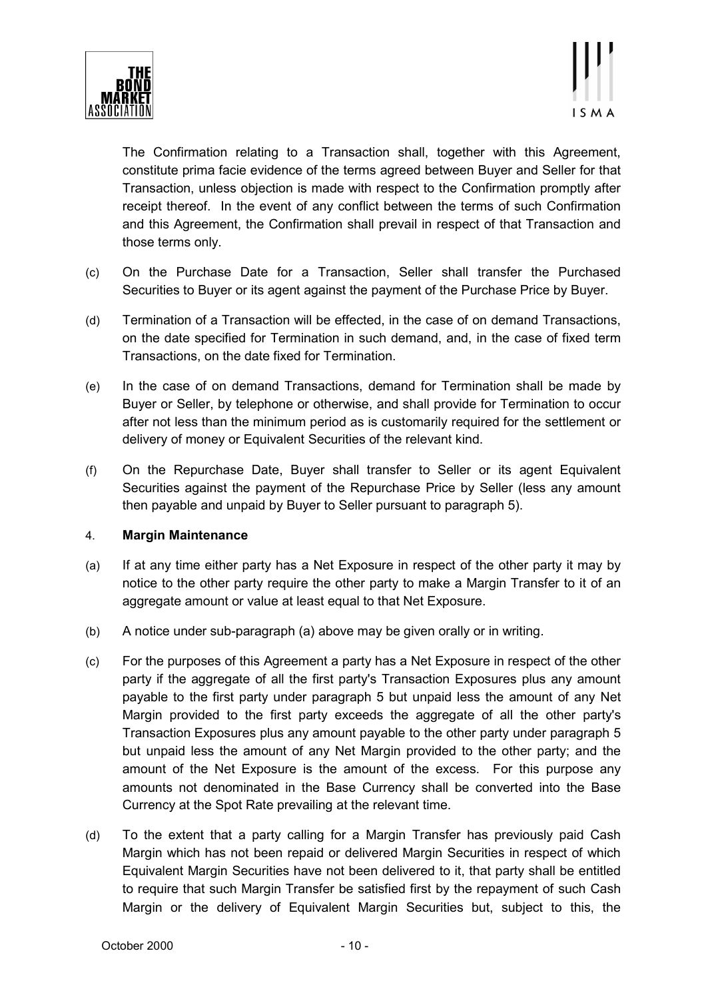

The Confirmation relating to a Transaction shall, together with this Agreement, constitute prima facie evidence of the terms agreed between Buyer and Seller for that Transaction, unless objection is made with respect to the Confirmation promptly after receipt thereof. In the event of any conflict between the terms of such Confirmation and this Agreement, the Confirmation shall prevail in respect of that Transaction and those terms only.

- (c) On the Purchase Date for a Transaction, Seller shall transfer the Purchased Securities to Buyer or its agent against the payment of the Purchase Price by Buyer.
- (d) Termination of a Transaction will be effected, in the case of on demand Transactions, on the date specified for Termination in such demand, and, in the case of fixed term Transactions, on the date fixed for Termination.
- (e) In the case of on demand Transactions, demand for Termination shall be made by Buyer or Seller, by telephone or otherwise, and shall provide for Termination to occur after not less than the minimum period as is customarily required for the settlement or delivery of money or Equivalent Securities of the relevant kind.
- (f) On the Repurchase Date, Buyer shall transfer to Seller or its agent Equivalent Securities against the payment of the Repurchase Price by Seller (less any amount then payable and unpaid by Buyer to Seller pursuant to paragraph 5).

#### 4. **Margin Maintenance**

- (a) If at any time either party has a Net Exposure in respect of the other party it may by notice to the other party require the other party to make a Margin Transfer to it of an aggregate amount or value at least equal to that Net Exposure.
- (b) A notice under sub-paragraph (a) above may be given orally or in writing.
- (c) For the purposes of this Agreement a party has a Net Exposure in respect of the other party if the aggregate of all the first party's Transaction Exposures plus any amount payable to the first party under paragraph 5 but unpaid less the amount of any Net Margin provided to the first party exceeds the aggregate of all the other party's Transaction Exposures plus any amount payable to the other party under paragraph 5 but unpaid less the amount of any Net Margin provided to the other party; and the amount of the Net Exposure is the amount of the excess. For this purpose any amounts not denominated in the Base Currency shall be converted into the Base Currency at the Spot Rate prevailing at the relevant time.
- (d) To the extent that a party calling for a Margin Transfer has previously paid Cash Margin which has not been repaid or delivered Margin Securities in respect of which Equivalent Margin Securities have not been delivered to it, that party shall be entitled to require that such Margin Transfer be satisfied first by the repayment of such Cash Margin or the delivery of Equivalent Margin Securities but, subject to this, the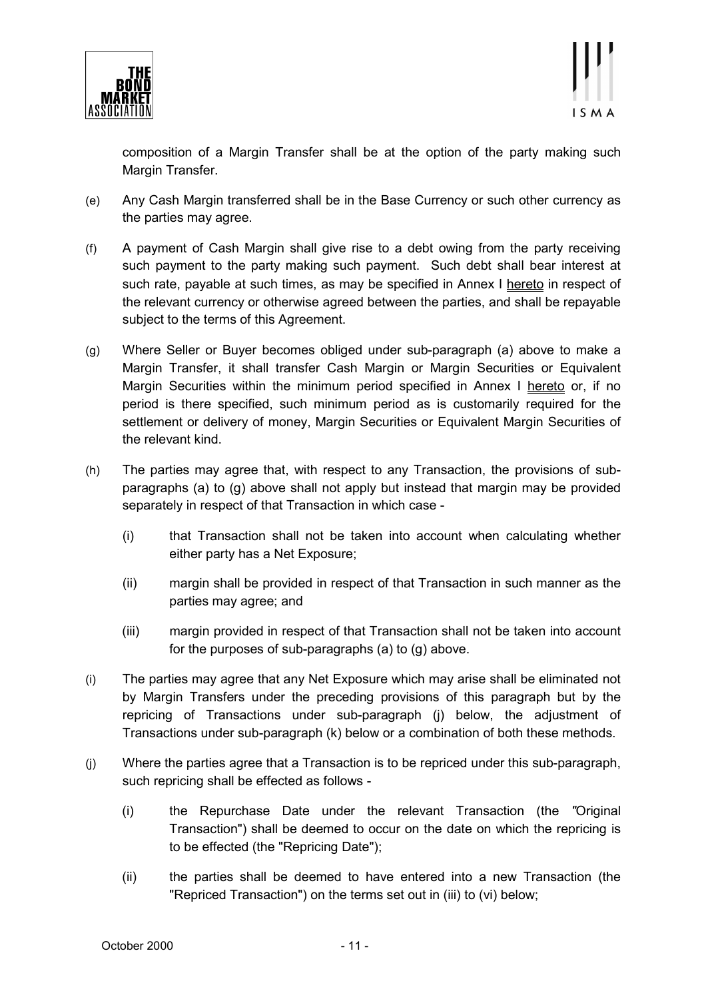composition of a Margin Transfer shall be at the option of the party making such Margin Transfer.

- (e) Any Cash Margin transferred shall be in the Base Currency or such other currency as the parties may agree.
- (f) A payment of Cash Margin shall give rise to a debt owing from the party receiving such payment to the party making such payment. Such debt shall bear interest at such rate, payable at such times, as may be specified in Annex I hereto in respect of the relevant currency or otherwise agreed between the parties, and shall be repayable subject to the terms of this Agreement.
- (g) Where Seller or Buyer becomes obliged under sub-paragraph (a) above to make a Margin Transfer, it shall transfer Cash Margin or Margin Securities or Equivalent Margin Securities within the minimum period specified in Annex I hereto or, if no period is there specified, such minimum period as is customarily required for the settlement or delivery of money, Margin Securities or Equivalent Margin Securities of the relevant kind.
- (h) The parties may agree that, with respect to any Transaction, the provisions of subparagraphs (a) to (g) above shall not apply but instead that margin may be provided separately in respect of that Transaction in which case -
	- (i) that Transaction shall not be taken into account when calculating whether either party has a Net Exposure;
	- (ii) margin shall be provided in respect of that Transaction in such manner as the parties may agree; and
	- (iii) margin provided in respect of that Transaction shall not be taken into account for the purposes of sub-paragraphs (a) to (g) above.
- (i) The parties may agree that any Net Exposure which may arise shall be eliminated not by Margin Transfers under the preceding provisions of this paragraph but by the repricing of Transactions under sub-paragraph (j) below, the adjustment of Transactions under sub-paragraph (k) below or a combination of both these methods.
- (j) Where the parties agree that a Transaction is to be repriced under this sub-paragraph, such repricing shall be effected as follows -
	- (i) the Repurchase Date under the relevant Transaction (the *"*Original Transaction") shall be deemed to occur on the date on which the repricing is to be effected (the "Repricing Date");
	- (ii) the parties shall be deemed to have entered into a new Transaction (the "Repriced Transaction") on the terms set out in (iii) to (vi) below;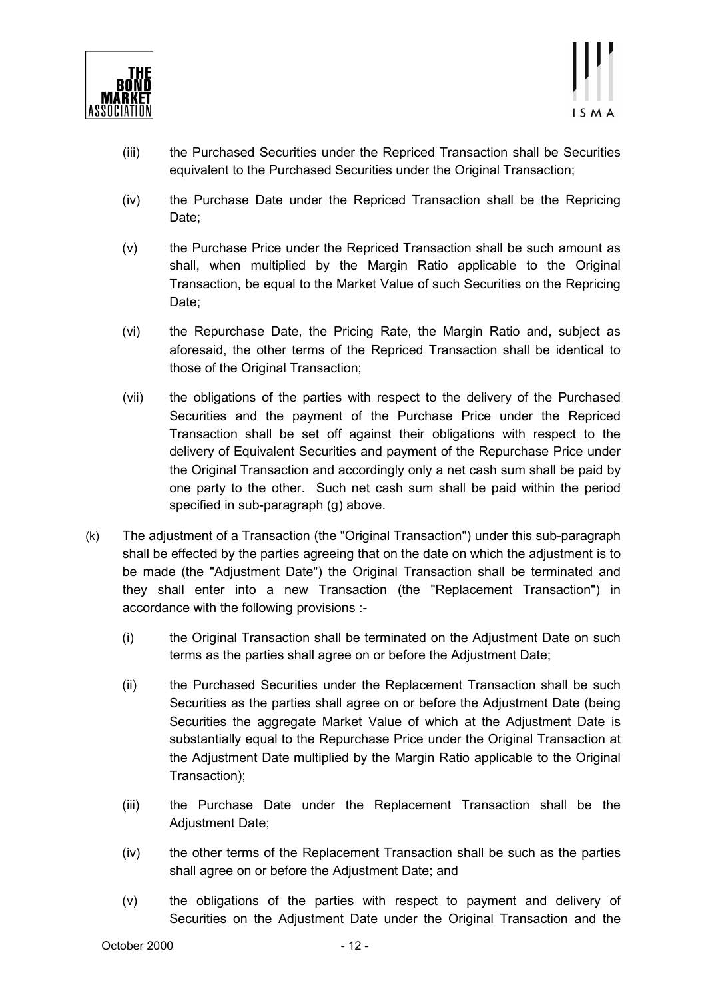

- (iii) the Purchased Securities under the Repriced Transaction shall be Securities equivalent to the Purchased Securities under the Original Transaction;
- (iv) the Purchase Date under the Repriced Transaction shall be the Repricing Date:
- (v) the Purchase Price under the Repriced Transaction shall be such amount as shall, when multiplied by the Margin Ratio applicable to the Original Transaction, be equal to the Market Value of such Securities on the Repricing Date;
- (vi) the Repurchase Date, the Pricing Rate, the Margin Ratio and, subject as aforesaid, the other terms of the Repriced Transaction shall be identical to those of the Original Transaction;
- (vii) the obligations of the parties with respect to the delivery of the Purchased Securities and the payment of the Purchase Price under the Repriced Transaction shall be set off against their obligations with respect to the delivery of Equivalent Securities and payment of the Repurchase Price under the Original Transaction and accordingly only a net cash sum shall be paid by one party to the other. Such net cash sum shall be paid within the period specified in sub-paragraph (g) above.
- (k) The adjustment of a Transaction (the "Original Transaction") under this sub-paragraph shall be effected by the parties agreeing that on the date on which the adjustment is to be made (the "Adjustment Date") the Original Transaction shall be terminated and they shall enter into a new Transaction (the "Replacement Transaction") in accordance with the following provisions :-
	- (i) the Original Transaction shall be terminated on the Adjustment Date on such terms as the parties shall agree on or before the Adjustment Date;
	- (ii) the Purchased Securities under the Replacement Transaction shall be such Securities as the parties shall agree on or before the Adjustment Date (being Securities the aggregate Market Value of which at the Adjustment Date is substantially equal to the Repurchase Price under the Original Transaction at the Adjustment Date multiplied by the Margin Ratio applicable to the Original Transaction);
	- (iii) the Purchase Date under the Replacement Transaction shall be the Adjustment Date;
	- (iv) the other terms of the Replacement Transaction shall be such as the parties shall agree on or before the Adjustment Date; and
	- (v) the obligations of the parties with respect to payment and delivery of Securities on the Adjustment Date under the Original Transaction and the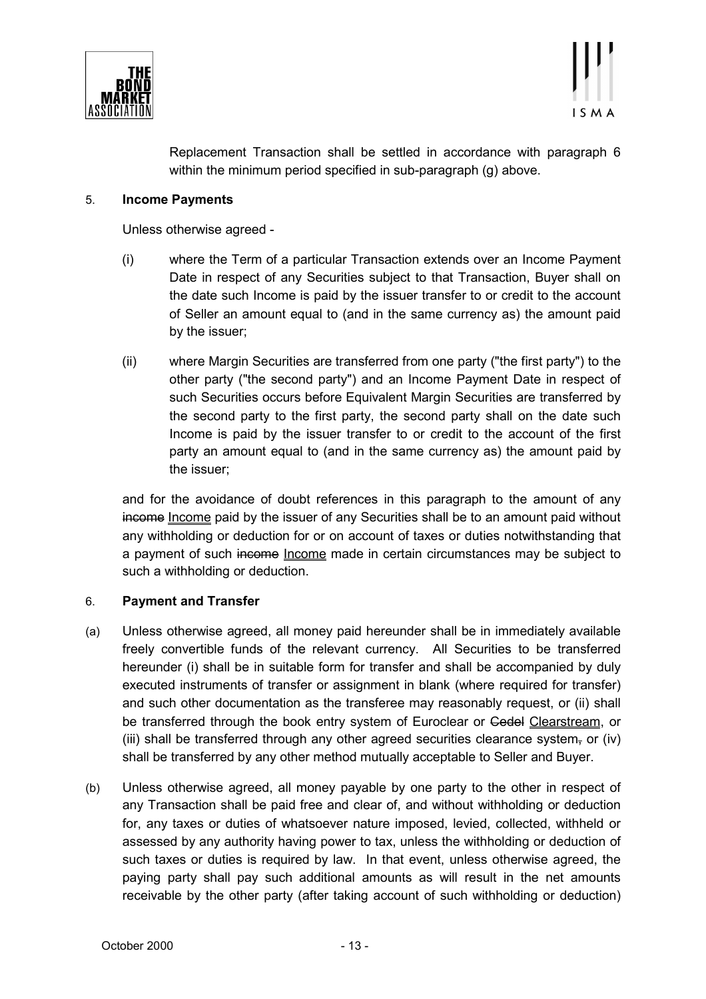

Replacement Transaction shall be settled in accordance with paragraph 6 within the minimum period specified in sub-paragraph (g) above.

#### 5. **Income Payments**

Unless otherwise agreed -

- (i) where the Term of a particular Transaction extends over an Income Payment Date in respect of any Securities subject to that Transaction, Buyer shall on the date such Income is paid by the issuer transfer to or credit to the account of Seller an amount equal to (and in the same currency as) the amount paid by the issuer;
- (ii) where Margin Securities are transferred from one party ("the first party") to the other party ("the second party") and an Income Payment Date in respect of such Securities occurs before Equivalent Margin Securities are transferred by the second party to the first party, the second party shall on the date such Income is paid by the issuer transfer to or credit to the account of the first party an amount equal to (and in the same currency as) the amount paid by the issuer;

and for the avoidance of doubt references in this paragraph to the amount of any income Income paid by the issuer of any Securities shall be to an amount paid without any withholding or deduction for or on account of taxes or duties notwithstanding that a payment of such income Income made in certain circumstances may be subject to such a withholding or deduction.

#### 6. **Payment and Transfer**

- (a) Unless otherwise agreed, all money paid hereunder shall be in immediately available freely convertible funds of the relevant currency. All Securities to be transferred hereunder (i) shall be in suitable form for transfer and shall be accompanied by duly executed instruments of transfer or assignment in blank (where required for transfer) and such other documentation as the transferee may reasonably request, or (ii) shall be transferred through the book entry system of Euroclear or Cedel Clearstream, or (iii) shall be transferred through any other agreed securities clearance system, or (iv) shall be transferred by any other method mutually acceptable to Seller and Buyer.
- (b) Unless otherwise agreed, all money payable by one party to the other in respect of any Transaction shall be paid free and clear of, and without withholding or deduction for, any taxes or duties of whatsoever nature imposed, levied, collected, withheld or assessed by any authority having power to tax, unless the withholding or deduction of such taxes or duties is required by law. In that event, unless otherwise agreed, the paying party shall pay such additional amounts as will result in the net amounts receivable by the other party (after taking account of such withholding or deduction)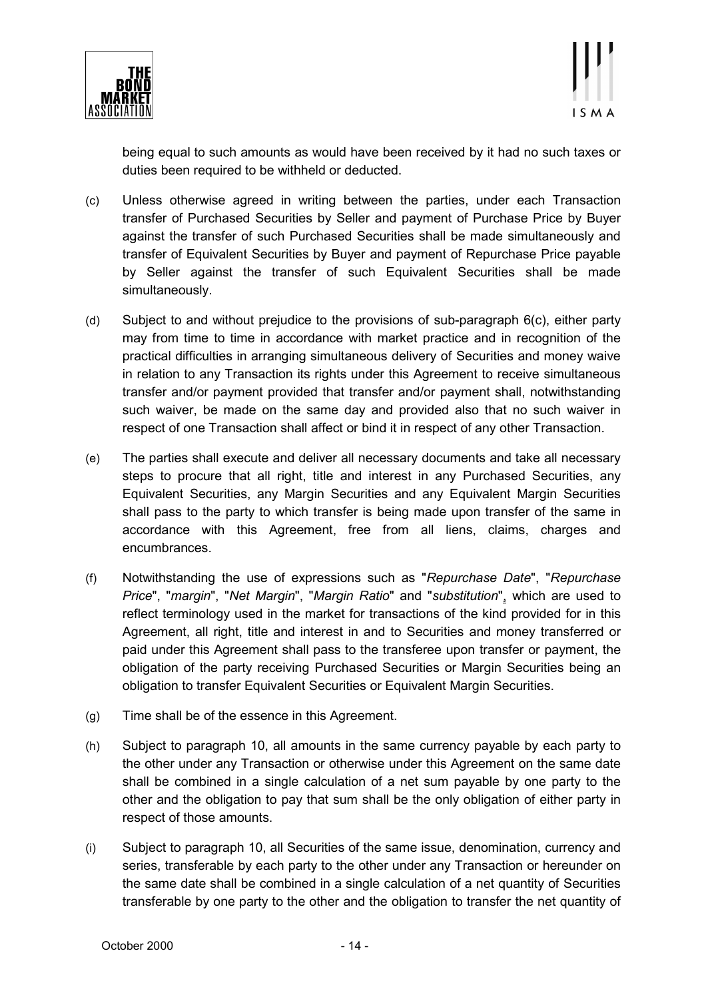



being equal to such amounts as would have been received by it had no such taxes or duties been required to be withheld or deducted.

- (c) Unless otherwise agreed in writing between the parties, under each Transaction transfer of Purchased Securities by Seller and payment of Purchase Price by Buyer against the transfer of such Purchased Securities shall be made simultaneously and transfer of Equivalent Securities by Buyer and payment of Repurchase Price payable by Seller against the transfer of such Equivalent Securities shall be made simultaneously.
- (d) Subject to and without prejudice to the provisions of sub-paragraph 6(c), either party may from time to time in accordance with market practice and in recognition of the practical difficulties in arranging simultaneous delivery of Securities and money waive in relation to any Transaction its rights under this Agreement to receive simultaneous transfer and/or payment provided that transfer and/or payment shall, notwithstanding such waiver, be made on the same day and provided also that no such waiver in respect of one Transaction shall affect or bind it in respect of any other Transaction.
- (e) The parties shall execute and deliver all necessary documents and take all necessary steps to procure that all right, title and interest in any Purchased Securities, any Equivalent Securities, any Margin Securities and any Equivalent Margin Securities shall pass to the party to which transfer is being made upon transfer of the same in accordance with this Agreement, free from all liens, claims, charges and encumbrances.
- (f) Notwithstanding the use of expressions such as "*Repurchase Date*", "*Repurchase Price*", "*margin*", "*Net Margin*", "*Margin Ratio*" and "*substitution*", which are used to reflect terminology used in the market for transactions of the kind provided for in this Agreement, all right, title and interest in and to Securities and money transferred or paid under this Agreement shall pass to the transferee upon transfer or payment, the obligation of the party receiving Purchased Securities or Margin Securities being an obligation to transfer Equivalent Securities or Equivalent Margin Securities.
- (g) Time shall be of the essence in this Agreement.
- (h) Subject to paragraph 10, all amounts in the same currency payable by each party to the other under any Transaction or otherwise under this Agreement on the same date shall be combined in a single calculation of a net sum payable by one party to the other and the obligation to pay that sum shall be the only obligation of either party in respect of those amounts.
- (i) Subject to paragraph 10, all Securities of the same issue, denomination, currency and series, transferable by each party to the other under any Transaction or hereunder on the same date shall be combined in a single calculation of a net quantity of Securities transferable by one party to the other and the obligation to transfer the net quantity of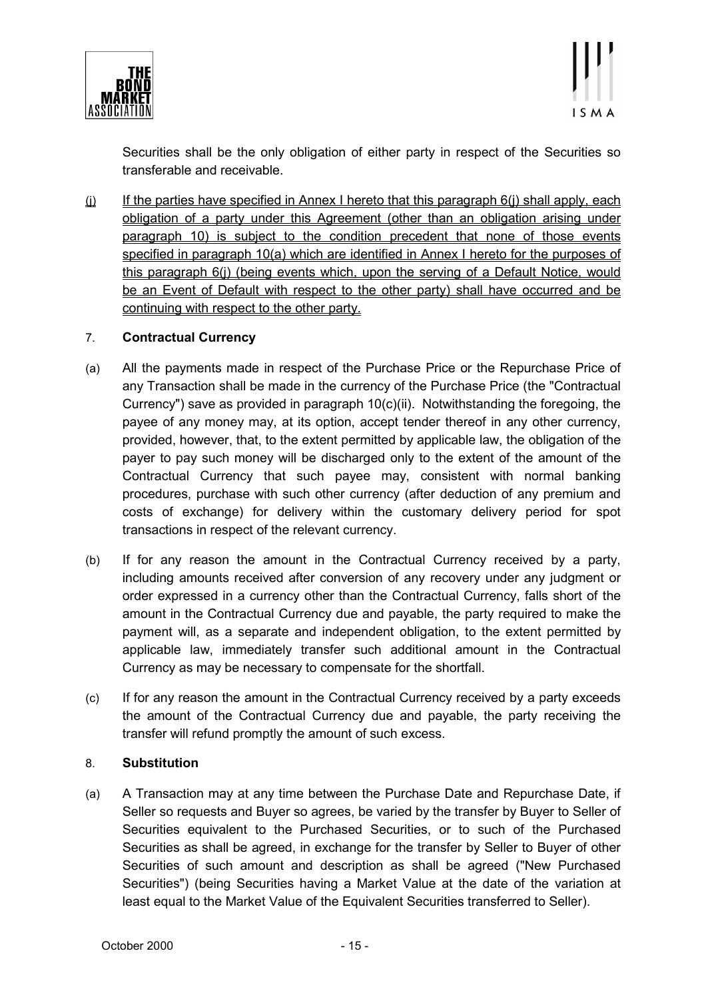

Securities shall be the only obligation of either party in respect of the Securities so transferable and receivable.

 $(i)$  If the parties have specified in Annex I hereto that this paragraph  $6(i)$  shall apply, each obligation of a party under this Agreement (other than an obligation arising under paragraph 10) is subject to the condition precedent that none of those events specified in paragraph 10(a) which are identified in Annex I hereto for the purposes of this paragraph 6(j) (being events which, upon the serving of a Default Notice, would be an Event of Default with respect to the other party) shall have occurred and be continuing with respect to the other party.

#### 7. **Contractual Currency**

- (a) All the payments made in respect of the Purchase Price or the Repurchase Price of any Transaction shall be made in the currency of the Purchase Price (the "Contractual Currency") save as provided in paragraph 10(c)(ii). Notwithstanding the foregoing, the payee of any money may, at its option, accept tender thereof in any other currency, provided, however, that, to the extent permitted by applicable law, the obligation of the payer to pay such money will be discharged only to the extent of the amount of the Contractual Currency that such payee may, consistent with normal banking procedures, purchase with such other currency (after deduction of any premium and costs of exchange) for delivery within the customary delivery period for spot transactions in respect of the relevant currency.
- (b) If for any reason the amount in the Contractual Currency received by a party, including amounts received after conversion of any recovery under any judgment or order expressed in a currency other than the Contractual Currency, falls short of the amount in the Contractual Currency due and payable, the party required to make the payment will, as a separate and independent obligation, to the extent permitted by applicable law, immediately transfer such additional amount in the Contractual Currency as may be necessary to compensate for the shortfall.
- (c) If for any reason the amount in the Contractual Currency received by a party exceeds the amount of the Contractual Currency due and payable, the party receiving the transfer will refund promptly the amount of such excess.

#### 8. **Substitution**

(a) A Transaction may at any time between the Purchase Date and Repurchase Date, if Seller so requests and Buyer so agrees, be varied by the transfer by Buyer to Seller of Securities equivalent to the Purchased Securities, or to such of the Purchased Securities as shall be agreed, in exchange for the transfer by Seller to Buyer of other Securities of such amount and description as shall be agreed ("New Purchased Securities") (being Securities having a Market Value at the date of the variation at least equal to the Market Value of the Equivalent Securities transferred to Seller).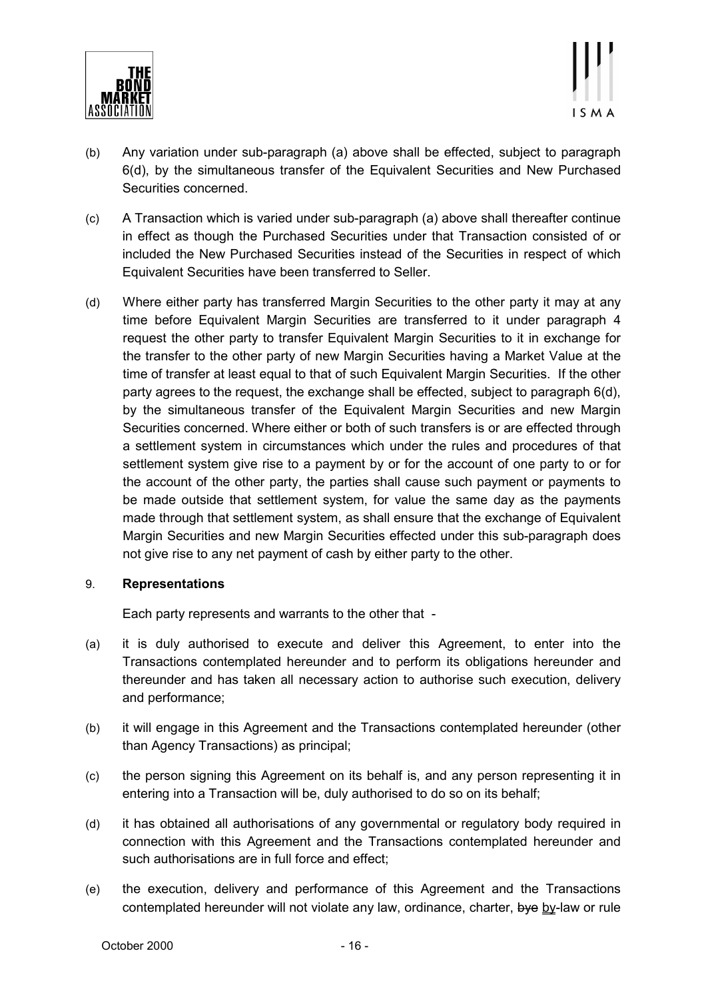

- (b) Any variation under sub-paragraph (a) above shall be effected, subject to paragraph 6(d), by the simultaneous transfer of the Equivalent Securities and New Purchased Securities concerned.
- (c) A Transaction which is varied under sub-paragraph (a) above shall thereafter continue in effect as though the Purchased Securities under that Transaction consisted of or included the New Purchased Securities instead of the Securities in respect of which Equivalent Securities have been transferred to Seller.
- (d) Where either party has transferred Margin Securities to the other party it may at any time before Equivalent Margin Securities are transferred to it under paragraph 4 request the other party to transfer Equivalent Margin Securities to it in exchange for the transfer to the other party of new Margin Securities having a Market Value at the time of transfer at least equal to that of such Equivalent Margin Securities. If the other party agrees to the request, the exchange shall be effected, subject to paragraph 6(d), by the simultaneous transfer of the Equivalent Margin Securities and new Margin Securities concerned. Where either or both of such transfers is or are effected through a settlement system in circumstances which under the rules and procedures of that settlement system give rise to a payment by or for the account of one party to or for the account of the other party, the parties shall cause such payment or payments to be made outside that settlement system, for value the same day as the payments made through that settlement system, as shall ensure that the exchange of Equivalent Margin Securities and new Margin Securities effected under this sub-paragraph does not give rise to any net payment of cash by either party to the other.

#### 9. **Representations**

Each party represents and warrants to the other that -

- (a) it is duly authorised to execute and deliver this Agreement, to enter into the Transactions contemplated hereunder and to perform its obligations hereunder and thereunder and has taken all necessary action to authorise such execution, delivery and performance;
- (b) it will engage in this Agreement and the Transactions contemplated hereunder (other than Agency Transactions) as principal;
- (c) the person signing this Agreement on its behalf is, and any person representing it in entering into a Transaction will be, duly authorised to do so on its behalf;
- (d) it has obtained all authorisations of any governmental or regulatory body required in connection with this Agreement and the Transactions contemplated hereunder and such authorisations are in full force and effect;
- (e) the execution, delivery and performance of this Agreement and the Transactions contemplated hereunder will not violate any law, ordinance, charter, bye by-law or rule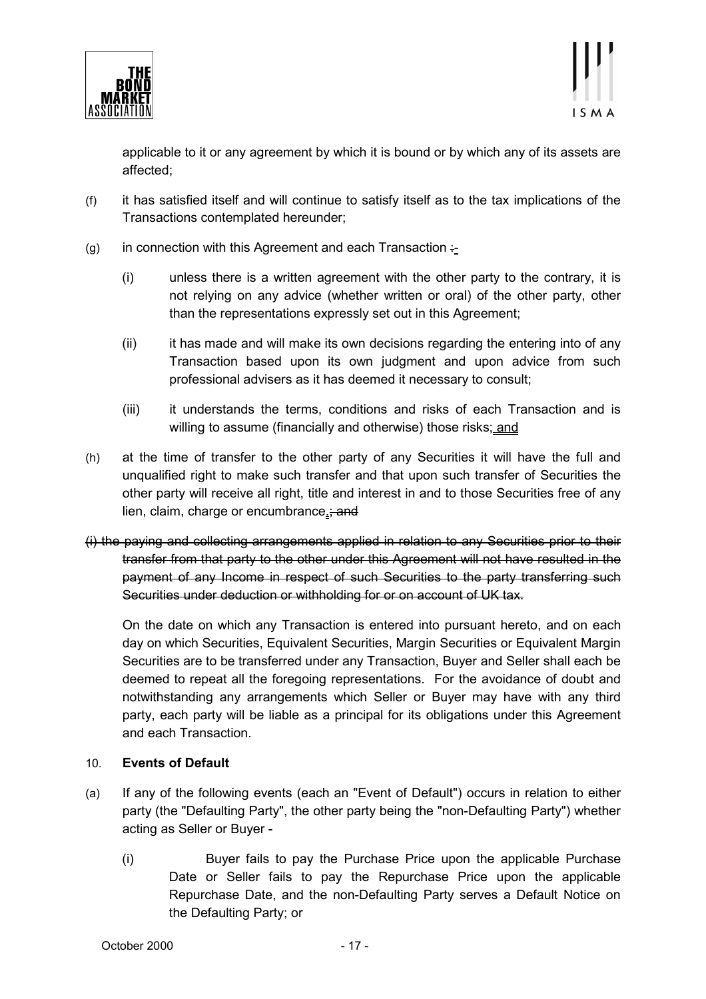

applicable to it or any agreement by which it is bound or by which any of its assets are affected;

- (f) it has satisfied itself and will continue to satisfy itself as to the tax implications of the Transactions contemplated hereunder;
- (g) in connection with this Agreement and each Transaction  $\div$ 
	- (i) unless there is a written agreement with the other party to the contrary, it is not relying on any advice (whether written or oral) of the other party, other than the representations expressly set out in this Agreement;
	- (ii) it has made and will make its own decisions regarding the entering into of any Transaction based upon its own judgment and upon advice from such professional advisers as it has deemed it necessary to consult;
	- (iii) it understands the terms, conditions and risks of each Transaction and is willing to assume (financially and otherwise) those risks; and
- (h) at the time of transfer to the other party of any Securities it will have the full and unqualified right to make such transfer and that upon such transfer of Securities the other party will receive all right, title and interest in and to those Securities free of any lien, claim, charge or encumbrance.; and
- (i) the paying and collecting arrangements applied in relation to any Securities prior to their transfer from that party to the other under this Agreement will not have resulted in the payment of any Income in respect of such Securities to the party transferring such Securities under deduction or withholding for or on account of UK tax.

On the date on which any Transaction is entered into pursuant hereto, and on each day on which Securities, Equivalent Securities, Margin Securities or Equivalent Margin Securities are to be transferred under any Transaction, Buyer and Seller shall each be deemed to repeat all the foregoing representations. For the avoidance of doubt and notwithstanding any arrangements which Seller or Buyer may have with any third party, each party will be liable as a principal for its obligations under this Agreement and each Transaction.

## 10. **Events of Default**

- (a) If any of the following events (each an "Event of Default") occurs in relation to either party (the "Defaulting Party", the other party being the "non-Defaulting Party") whether acting as Seller or Buyer -
	- (i) Buyer fails to pay the Purchase Price upon the applicable Purchase Date or Seller fails to pay the Repurchase Price upon the applicable Repurchase Date, and the non-Defaulting Party serves a Default Notice on the Defaulting Party; or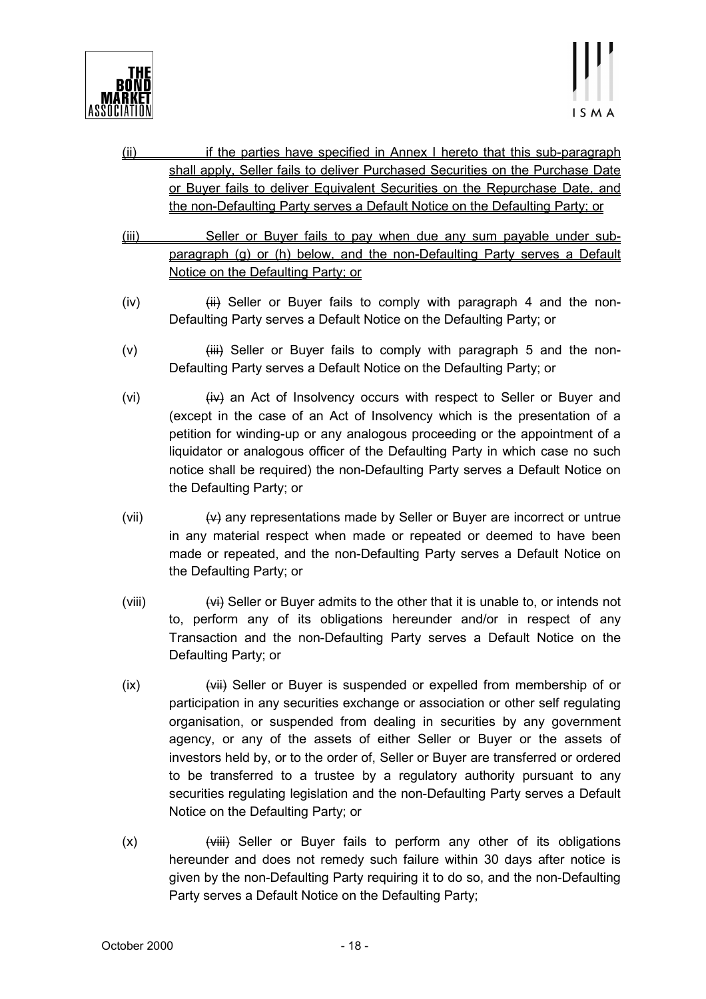

- (ii) if the parties have specified in Annex I hereto that this sub-paragraph shall apply, Seller fails to deliver Purchased Securities on the Purchase Date or Buyer fails to deliver Equivalent Securities on the Repurchase Date, and the non-Defaulting Party serves a Default Notice on the Defaulting Party; or
- (iii) Seller or Buyer fails to pay when due any sum payable under subparagraph (g) or (h) below, and the non-Defaulting Party serves a Default Notice on the Defaulting Party; or
- $(iv)$  (iii) Seller or Buyer fails to comply with paragraph 4 and the non-Defaulting Party serves a Default Notice on the Defaulting Party; or
- $(v)$  (iii) Seller or Buyer fails to comply with paragraph 5 and the non-Defaulting Party serves a Default Notice on the Defaulting Party; or
- (vi)  $(ix)$  an Act of Insolvency occurs with respect to Seller or Buyer and (except in the case of an Act of Insolvency which is the presentation of a petition for winding-up or any analogous proceeding or the appointment of a liquidator or analogous officer of the Defaulting Party in which case no such notice shall be required) the non-Defaulting Party serves a Default Notice on the Defaulting Party; or
- (vii)  $\left\langle v\right\rangle$  any representations made by Seller or Buyer are incorrect or untrue in any material respect when made or repeated or deemed to have been made or repeated, and the non-Defaulting Party serves a Default Notice on the Defaulting Party; or
- (viii)  $(vii)$   $(viii)$  Seller or Buyer admits to the other that it is unable to, or intends not to, perform any of its obligations hereunder and/or in respect of any Transaction and the non-Defaulting Party serves a Default Notice on the Defaulting Party; or
- $(x)$  (ix)  $(yii)$  Seller or Buyer is suspended or expelled from membership of or participation in any securities exchange or association or other self regulating organisation, or suspended from dealing in securities by any government agency, or any of the assets of either Seller or Buyer or the assets of investors held by, or to the order of, Seller or Buyer are transferred or ordered to be transferred to a trustee by a regulatory authority pursuant to any securities regulating legislation and the non-Defaulting Party serves a Default Notice on the Defaulting Party; or
- $(x)$  ( $\overline{\text{with}}$  Seller or Buyer fails to perform any other of its obligations hereunder and does not remedy such failure within 30 days after notice is given by the non-Defaulting Party requiring it to do so, and the non-Defaulting Party serves a Default Notice on the Defaulting Party;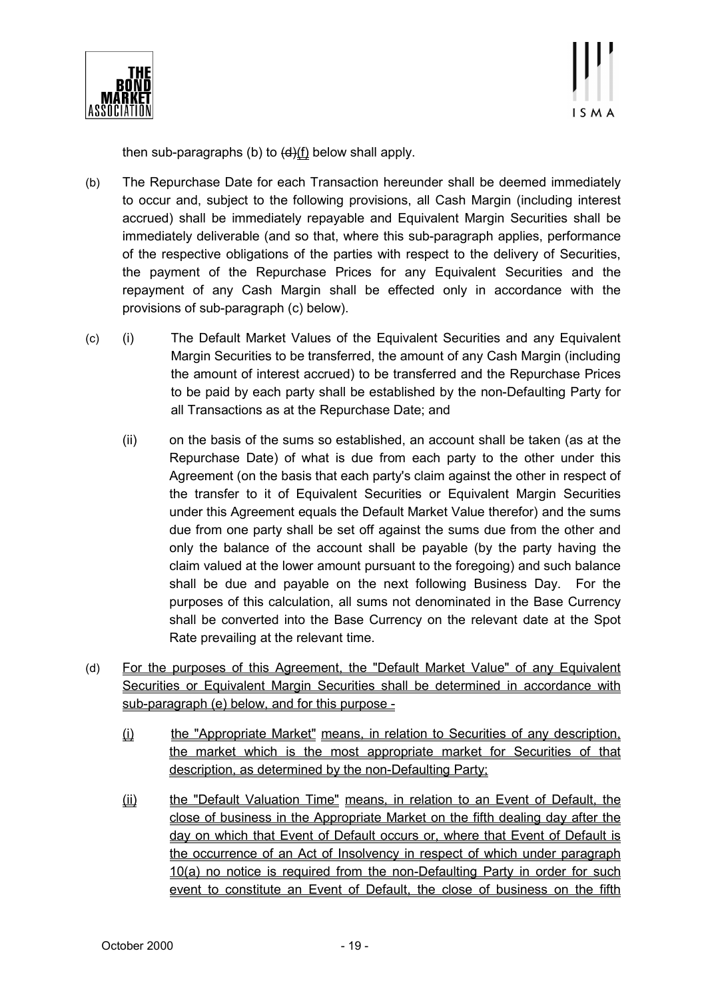

then sub-paragraphs (b) to  $\left(\frac{d}{f}\right)$  below shall apply.

- (b) The Repurchase Date for each Transaction hereunder shall be deemed immediately to occur and, subject to the following provisions, all Cash Margin (including interest accrued) shall be immediately repayable and Equivalent Margin Securities shall be immediately deliverable (and so that, where this sub-paragraph applies, performance of the respective obligations of the parties with respect to the delivery of Securities, the payment of the Repurchase Prices for any Equivalent Securities and the repayment of any Cash Margin shall be effected only in accordance with the provisions of sub-paragraph (c) below).
- (c) (i) The Default Market Values of the Equivalent Securities and any Equivalent Margin Securities to be transferred, the amount of any Cash Margin (including the amount of interest accrued) to be transferred and the Repurchase Prices to be paid by each party shall be established by the non-Defaulting Party for all Transactions as at the Repurchase Date; and
	- (ii) on the basis of the sums so established, an account shall be taken (as at the Repurchase Date) of what is due from each party to the other under this Agreement (on the basis that each party's claim against the other in respect of the transfer to it of Equivalent Securities or Equivalent Margin Securities under this Agreement equals the Default Market Value therefor) and the sums due from one party shall be set off against the sums due from the other and only the balance of the account shall be payable (by the party having the claim valued at the lower amount pursuant to the foregoing) and such balance shall be due and payable on the next following Business Day. For the purposes of this calculation, all sums not denominated in the Base Currency shall be converted into the Base Currency on the relevant date at the Spot Rate prevailing at the relevant time.
- (d) For the purposes of this Agreement, the "Default Market Value" of any Equivalent Securities or Equivalent Margin Securities shall be determined in accordance with sub-paragraph (e) below, and for this purpose -
	- (i) the "Appropriate Market" means, in relation to Securities of any description, the market which is the most appropriate market for Securities of that description, as determined by the non-Defaulting Party;
	- (ii) the "Default Valuation Time" means, in relation to an Event of Default, the close of business in the Appropriate Market on the fifth dealing day after the day on which that Event of Default occurs or, where that Event of Default is the occurrence of an Act of Insolvency in respect of which under paragraph 10(a) no notice is required from the non-Defaulting Party in order for such event to constitute an Event of Default, the close of business on the fifth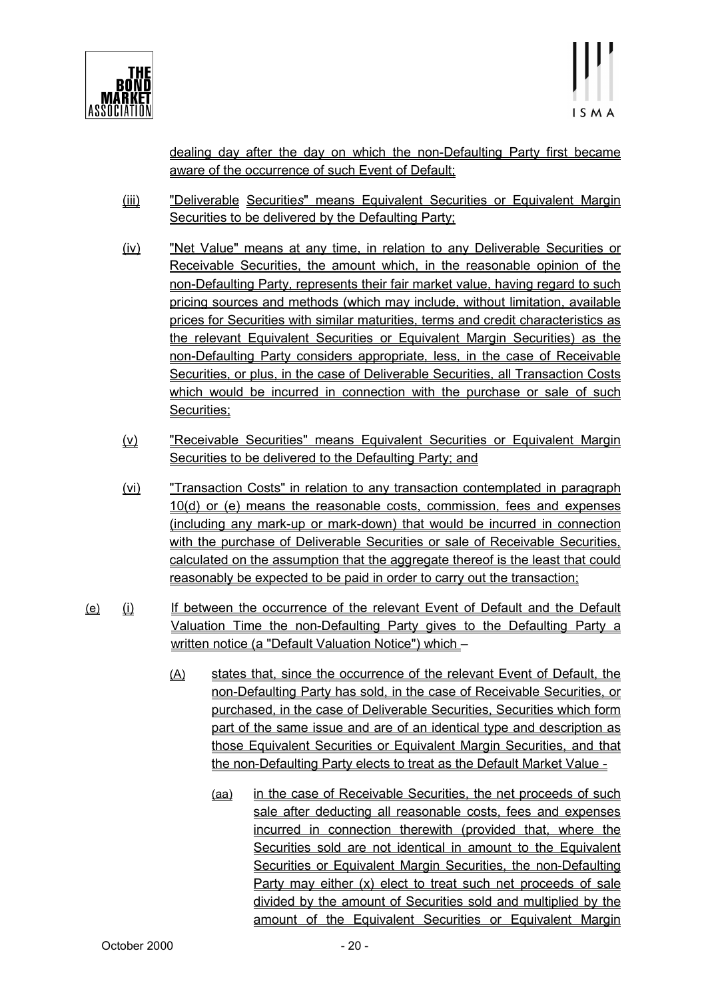

dealing day after the day on which the non-Defaulting Party first became aware of the occurrence of such Event of Default;

- (iii) "Deliverable Securitie*s*" means Equivalent Securities or Equivalent Margin Securities to be delivered by the Defaulting Party;
- (iv) "Net Value" means at any time, in relation to any Deliverable Securities or Receivable Securities, the amount which, in the reasonable opinion of the non-Defaulting Party, represents their fair market value, having regard to such pricing sources and methods (which may include, without limitation, available prices for Securities with similar maturities, terms and credit characteristics as the relevant Equivalent Securities or Equivalent Margin Securities) as the non-Defaulting Party considers appropriate, less, in the case of Receivable Securities, or plus, in the case of Deliverable Securities, all Transaction Costs which would be incurred in connection with the purchase or sale of such Securities;
- (v) "Receivable Securities" means Equivalent Securities or Equivalent Margin Securities to be delivered to the Defaulting Party; and
- (vi) "Transaction Costs" in relation to any transaction contemplated in paragraph 10(d) or (e) means the reasonable costs, commission, fees and expenses (including any mark-up or mark-down) that would be incurred in connection with the purchase of Deliverable Securities or sale of Receivable Securities, calculated on the assumption that the aggregate thereof is the least that could reasonably be expected to be paid in order to carry out the transaction;
- (e) (i) If between the occurrence of the relevant Event of Default and the Default Valuation Time the non-Defaulting Party gives to the Defaulting Party a written notice (a "Default Valuation Notice") which –
	- (A) states that, since the occurrence of the relevant Event of Default, the non-Defaulting Party has sold, in the case of Receivable Securities, or purchased, in the case of Deliverable Securities, Securities which form part of the same issue and are of an identical type and description as those Equivalent Securities or Equivalent Margin Securities, and that the non-Defaulting Party elects to treat as the Default Market Value -
		- (aa) in the case of Receivable Securities, the net proceeds of such sale after deducting all reasonable costs, fees and expenses incurred in connection therewith (provided that, where the Securities sold are not identical in amount to the Equivalent Securities or Equivalent Margin Securities, the non-Defaulting Party may either (x) elect to treat such net proceeds of sale divided by the amount of Securities sold and multiplied by the amount of the Equivalent Securities or Equivalent Margin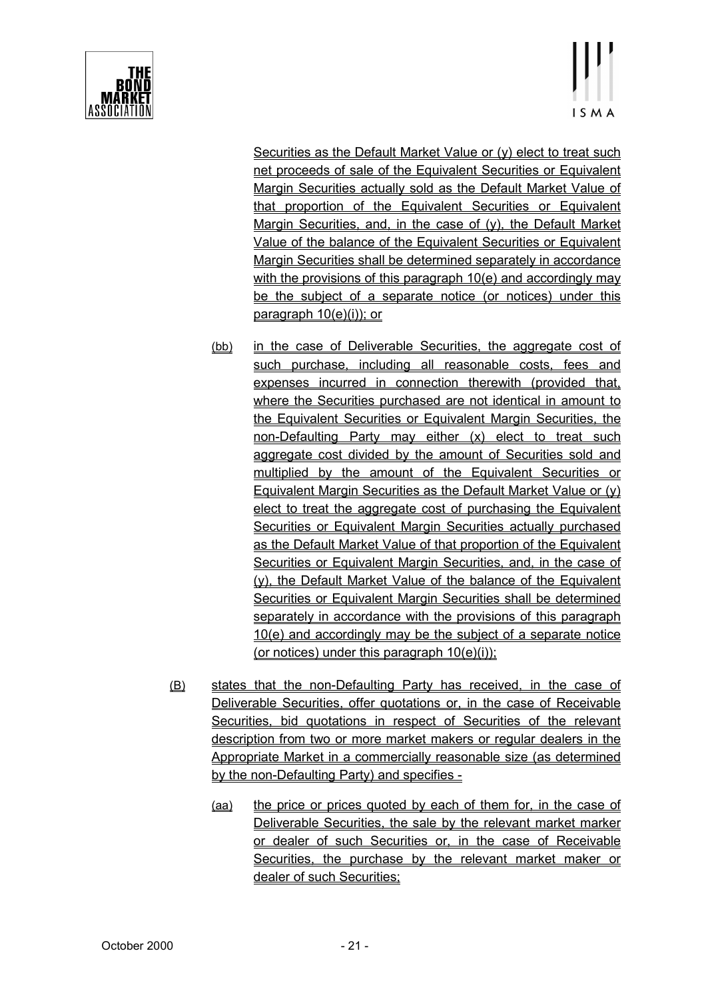

Securities as the Default Market Value or (y) elect to treat such net proceeds of sale of the Equivalent Securities or Equivalent Margin Securities actually sold as the Default Market Value of that proportion of the Equivalent Securities or Equivalent Margin Securities, and, in the case of (y), the Default Market Value of the balance of the Equivalent Securities or Equivalent Margin Securities shall be determined separately in accordance with the provisions of this paragraph 10(e) and accordingly may be the subject of a separate notice (or notices) under this paragraph 10(e)(i)); or

- (bb) in the case of Deliverable Securities, the aggregate cost of such purchase, including all reasonable costs, fees and expenses incurred in connection therewith (provided that, where the Securities purchased are not identical in amount to the Equivalent Securities or Equivalent Margin Securities, the non-Defaulting Party may either (x) elect to treat such aggregate cost divided by the amount of Securities sold and multiplied by the amount of the Equivalent Securities or Equivalent Margin Securities as the Default Market Value or (y) elect to treat the aggregate cost of purchasing the Equivalent Securities or Equivalent Margin Securities actually purchased as the Default Market Value of that proportion of the Equivalent Securities or Equivalent Margin Securities, and, in the case of (y), the Default Market Value of the balance of the Equivalent Securities or Equivalent Margin Securities shall be determined separately in accordance with the provisions of this paragraph 10(e) and accordingly may be the subject of a separate notice (or notices) under this paragraph 10(e)(i));
- (B) states that the non-Defaulting Party has received, in the case of Deliverable Securities, offer quotations or, in the case of Receivable Securities, bid quotations in respect of Securities of the relevant description from two or more market makers or regular dealers in the Appropriate Market in a commercially reasonable size (as determined by the non-Defaulting Party) and specifies -
	- (aa) the price or prices quoted by each of them for, in the case of Deliverable Securities, the sale by the relevant market marker or dealer of such Securities or, in the case of Receivable Securities, the purchase by the relevant market maker or dealer of such Securities;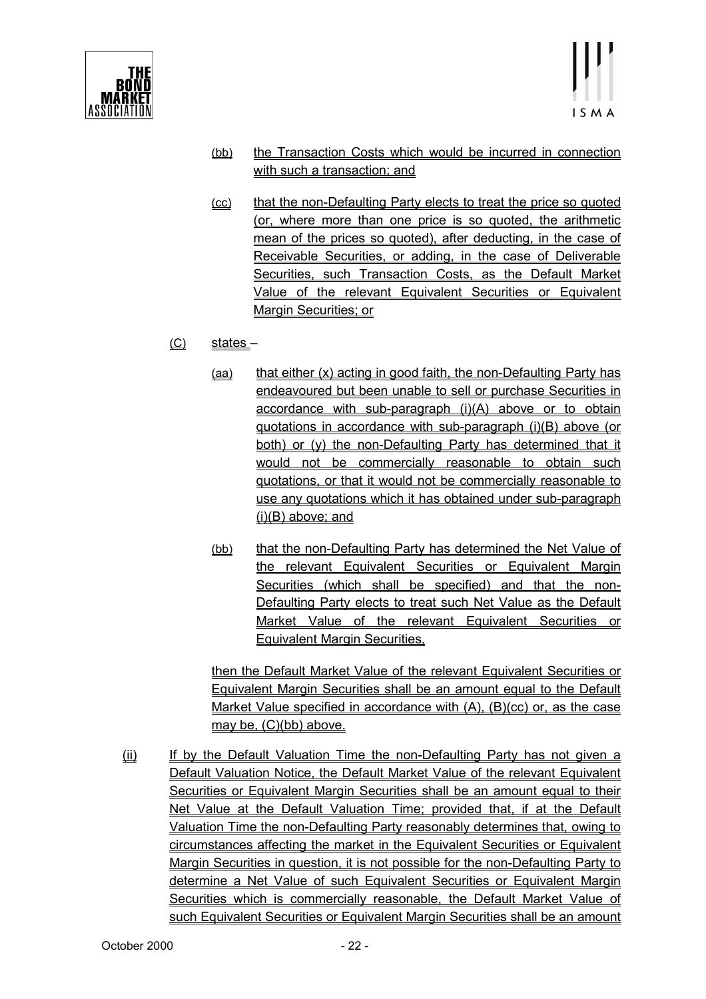

- (bb) the Transaction Costs which would be incurred in connection with such a transaction; and
- (cc) that the non-Defaulting Party elects to treat the price so quoted (or, where more than one price is so quoted, the arithmetic mean of the prices so quoted), after deducting, in the case of Receivable Securities, or adding, in the case of Deliverable Securities, such Transaction Costs, as the Default Market Value of the relevant Equivalent Securities or Equivalent Margin Securities; or
- (C) states
	- (aa) that either (x) acting in good faith, the non-Defaulting Party has endeavoured but been unable to sell or purchase Securities in accordance with sub-paragraph (i)(A) above or to obtain quotations in accordance with sub-paragraph (i)(B) above (or both) or (y) the non-Defaulting Party has determined that it would not be commercially reasonable to obtain such quotations, or that it would not be commercially reasonable to use any quotations which it has obtained under sub-paragraph (i)(B) above; and
	- (bb) that the non-Defaulting Party has determined the Net Value of the relevant Equivalent Securities or Equivalent Margin Securities (which shall be specified) and that the non-Defaulting Party elects to treat such Net Value as the Default Market Value of the relevant Equivalent Securities or Equivalent Margin Securities,

then the Default Market Value of the relevant Equivalent Securities or Equivalent Margin Securities shall be an amount equal to the Default Market Value specified in accordance with (A), (B)(cc) or, as the case may be, (C)(bb) above.

(ii) If by the Default Valuation Time the non-Defaulting Party has not given a Default Valuation Notice, the Default Market Value of the relevant Equivalent Securities or Equivalent Margin Securities shall be an amount equal to their Net Value at the Default Valuation Time; provided that, if at the Default Valuation Time the non-Defaulting Party reasonably determines that, owing to circumstances affecting the market in the Equivalent Securities or Equivalent Margin Securities in question, it is not possible for the non-Defaulting Party to determine a Net Value of such Equivalent Securities or Equivalent Margin Securities which is commercially reasonable, the Default Market Value of such Equivalent Securities or Equivalent Margin Securities shall be an amount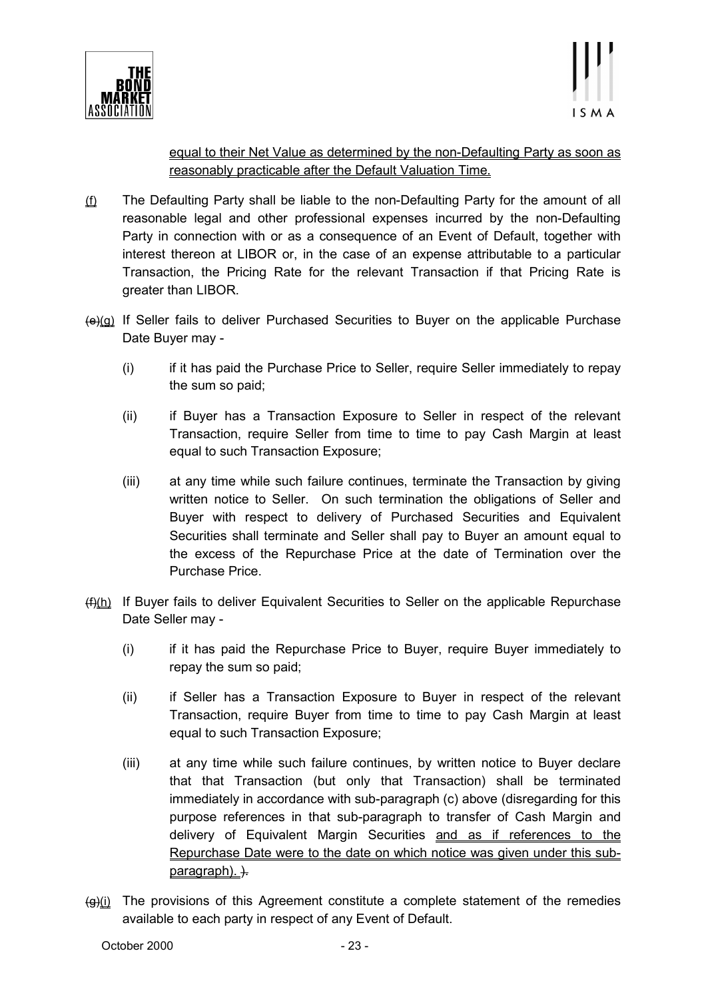

## equal to their Net Value as determined by the non-Defaulting Party as soon as reasonably practicable after the Default Valuation Time.

- (f) The Defaulting Party shall be liable to the non-Defaulting Party for the amount of all reasonable legal and other professional expenses incurred by the non-Defaulting Party in connection with or as a consequence of an Event of Default, together with interest thereon at LIBOR or, in the case of an expense attributable to a particular Transaction, the Pricing Rate for the relevant Transaction if that Pricing Rate is greater than LIBOR.
- (e)(g) If Seller fails to deliver Purchased Securities to Buyer on the applicable Purchase Date Buyer may -
	- (i) if it has paid the Purchase Price to Seller, require Seller immediately to repay the sum so paid;
	- (ii) if Buyer has a Transaction Exposure to Seller in respect of the relevant Transaction, require Seller from time to time to pay Cash Margin at least equal to such Transaction Exposure;
	- (iii) at any time while such failure continues, terminate the Transaction by giving written notice to Seller. On such termination the obligations of Seller and Buyer with respect to delivery of Purchased Securities and Equivalent Securities shall terminate and Seller shall pay to Buyer an amount equal to the excess of the Repurchase Price at the date of Termination over the Purchase Price.
- $(f(x)$  If Buyer fails to deliver Equivalent Securities to Seller on the applicable Repurchase Date Seller may -
	- (i) if it has paid the Repurchase Price to Buyer, require Buyer immediately to repay the sum so paid;
	- (ii) if Seller has a Transaction Exposure to Buyer in respect of the relevant Transaction, require Buyer from time to time to pay Cash Margin at least equal to such Transaction Exposure;
	- (iii) at any time while such failure continues, by written notice to Buyer declare that that Transaction (but only that Transaction) shall be terminated immediately in accordance with sub-paragraph (c) above (disregarding for this purpose references in that sub-paragraph to transfer of Cash Margin and delivery of Equivalent Margin Securities and as if references to the Repurchase Date were to the date on which notice was given under this subparagraph). H.
- $\left(\frac{q}{q}\right)$  The provisions of this Agreement constitute a complete statement of the remedies available to each party in respect of any Event of Default.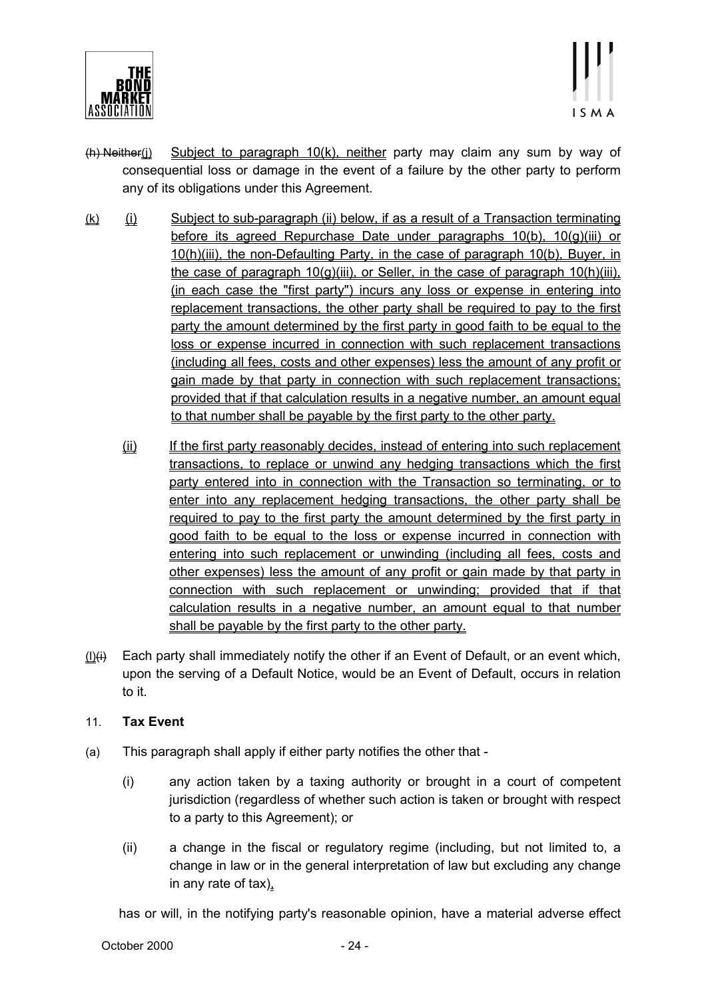

- (h) Neither(j) Subject to paragraph 10(k), neither party may claim any sum by way of consequential loss or damage in the event of a failure by the other party to perform any of its obligations under this Agreement.
- $(k)$  (i) Subject to sub-paragraph (ii) below, if as a result of a Transaction terminating before its agreed Repurchase Date under paragraphs 10(b), 10(g)(iii) or 10(h)(iii), the non-Defaulting Party, in the case of paragraph 10(b), Buyer, in the case of paragraph 10(g)(iii), or Seller, in the case of paragraph 10(h)(iii), (in each case the "first party") incurs any loss or expense in entering into replacement transactions, the other party shall be required to pay to the first party the amount determined by the first party in good faith to be equal to the loss or expense incurred in connection with such replacement transactions (including all fees, costs and other expenses) less the amount of any profit or gain made by that party in connection with such replacement transactions; provided that if that calculation results in a negative number, an amount equal to that number shall be payable by the first party to the other party.
	- $(i)$  If the first party reasonably decides, instead of entering into such replacement transactions, to replace or unwind any hedging transactions which the first party entered into in connection with the Transaction so terminating, or to enter into any replacement hedging transactions, the other party shall be required to pay to the first party the amount determined by the first party in good faith to be equal to the loss or expense incurred in connection with entering into such replacement or unwinding (including all fees, costs and other expenses) less the amount of any profit or gain made by that party in connection with such replacement or unwinding; provided that if that calculation results in a negative number, an amount equal to that number shall be payable by the first party to the other party.
- $(1)$ (i) Each party shall immediately notify the other if an Event of Default, or an event which, upon the serving of a Default Notice, would be an Event of Default, occurs in relation to it.

#### 11. **Tax Event**

- (a) This paragraph shall apply if either party notifies the other that
	- (i) any action taken by a taxing authority or brought in a court of competent jurisdiction (regardless of whether such action is taken or brought with respect to a party to this Agreement); or
	- (ii) a change in the fiscal or regulatory regime (including, but not limited to, a change in law or in the general interpretation of law but excluding any change in any rate of tax),

has or will, in the notifying party's reasonable opinion, have a material adverse effect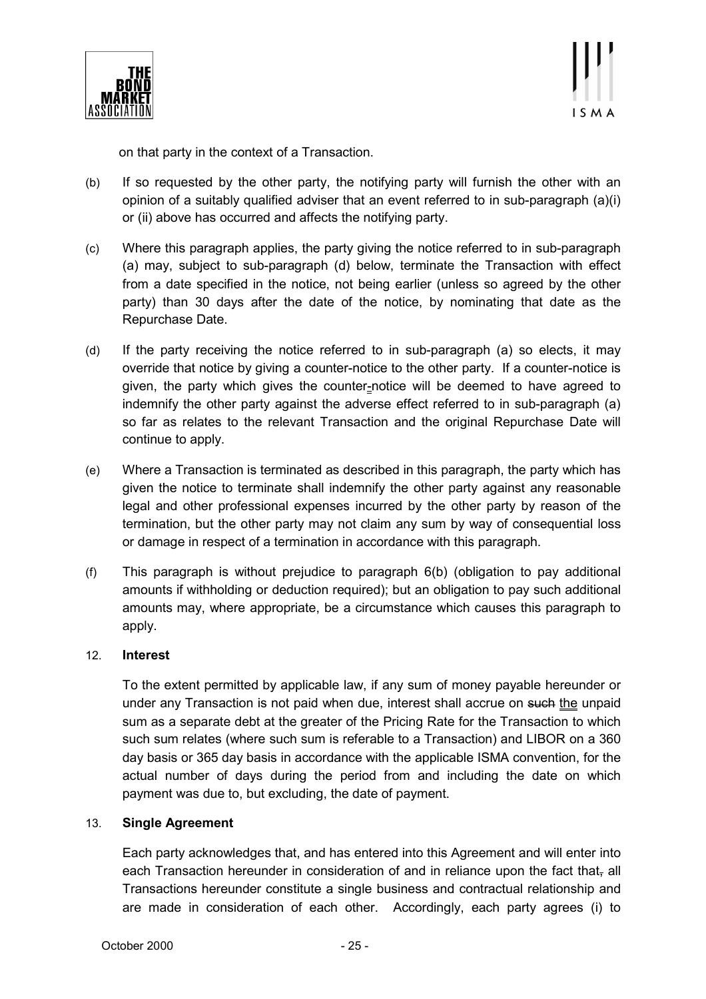

on that party in the context of a Transaction.

- (b) If so requested by the other party, the notifying party will furnish the other with an opinion of a suitably qualified adviser that an event referred to in sub-paragraph (a)(i) or (ii) above has occurred and affects the notifying party.
- (c) Where this paragraph applies, the party giving the notice referred to in sub-paragraph (a) may, subject to sub-paragraph (d) below, terminate the Transaction with effect from a date specified in the notice, not being earlier (unless so agreed by the other party) than 30 days after the date of the notice, by nominating that date as the Repurchase Date.
- (d) If the party receiving the notice referred to in sub-paragraph (a) so elects, it may override that notice by giving a counter-notice to the other party. If a counter-notice is given, the party which gives the counter-notice will be deemed to have agreed to indemnify the other party against the adverse effect referred to in sub-paragraph (a) so far as relates to the relevant Transaction and the original Repurchase Date will continue to apply.
- (e) Where a Transaction is terminated as described in this paragraph, the party which has given the notice to terminate shall indemnify the other party against any reasonable legal and other professional expenses incurred by the other party by reason of the termination, but the other party may not claim any sum by way of consequential loss or damage in respect of a termination in accordance with this paragraph.
- (f) This paragraph is without prejudice to paragraph 6(b) (obligation to pay additional amounts if withholding or deduction required); but an obligation to pay such additional amounts may, where appropriate, be a circumstance which causes this paragraph to apply.

#### 12. **Interest**

To the extent permitted by applicable law, if any sum of money payable hereunder or under any Transaction is not paid when due, interest shall accrue on such the unpaid sum as a separate debt at the greater of the Pricing Rate for the Transaction to which such sum relates (where such sum is referable to a Transaction) and LIBOR on a 360 day basis or 365 day basis in accordance with the applicable ISMA convention, for the actual number of days during the period from and including the date on which payment was due to, but excluding, the date of payment.

#### 13. **Single Agreement**

Each party acknowledges that, and has entered into this Agreement and will enter into each Transaction hereunder in consideration of and in reliance upon the fact that, all Transactions hereunder constitute a single business and contractual relationship and are made in consideration of each other. Accordingly, each party agrees (i) to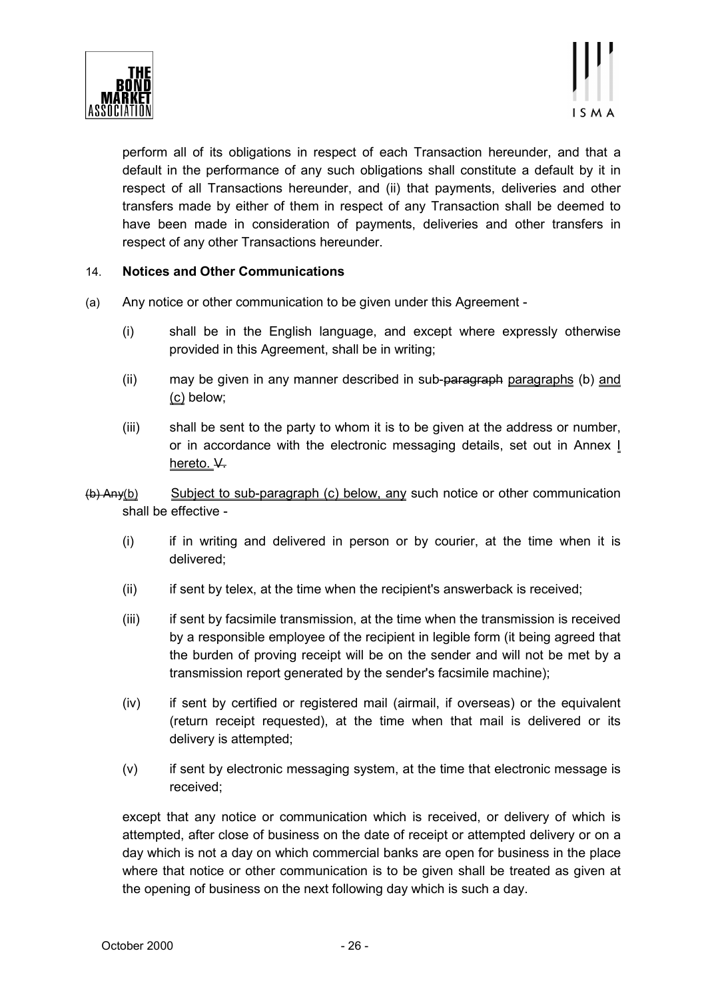

perform all of its obligations in respect of each Transaction hereunder, and that a default in the performance of any such obligations shall constitute a default by it in respect of all Transactions hereunder, and (ii) that payments, deliveries and other transfers made by either of them in respect of any Transaction shall be deemed to have been made in consideration of payments, deliveries and other transfers in respect of any other Transactions hereunder.

#### 14. **Notices and Other Communications**

- (a) Any notice or other communication to be given under this Agreement
	- (i) shall be in the English language, and except where expressly otherwise provided in this Agreement, shall be in writing;
	- (ii) may be given in any manner described in sub-paragraph paragraphs (b) and (c) below;
	- (iii) shall be sent to the party to whom it is to be given at the address or number, or in accordance with the electronic messaging details, set out in Annex [ hereto. V.
- (b) Any(b) Subject to sub-paragraph (c) below, any such notice or other communication shall be effective -
	- (i) if in writing and delivered in person or by courier, at the time when it is delivered;
	- (ii) if sent by telex, at the time when the recipient's answerback is received;
	- (iii) if sent by facsimile transmission, at the time when the transmission is received by a responsible employee of the recipient in legible form (it being agreed that the burden of proving receipt will be on the sender and will not be met by a transmission report generated by the sender's facsimile machine);
	- (iv) if sent by certified or registered mail (airmail, if overseas) or the equivalent (return receipt requested), at the time when that mail is delivered or its delivery is attempted;
	- (v) if sent by electronic messaging system, at the time that electronic message is received;

except that any notice or communication which is received, or delivery of which is attempted, after close of business on the date of receipt or attempted delivery or on a day which is not a day on which commercial banks are open for business in the place where that notice or other communication is to be given shall be treated as given at the opening of business on the next following day which is such a day.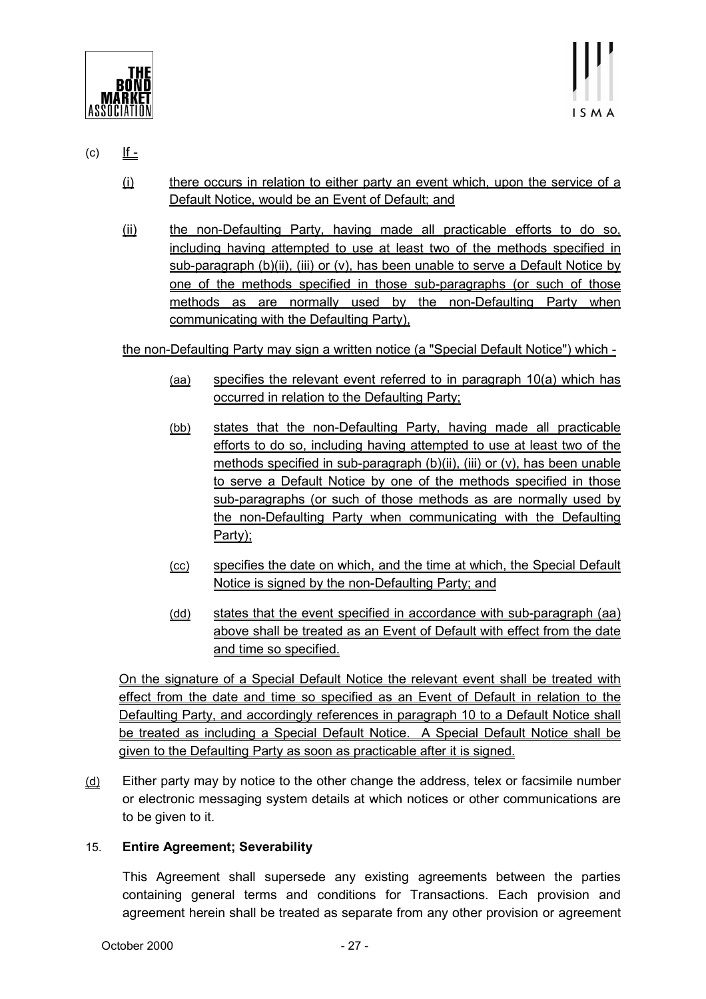

- $(c)$  If  $-$ 
	- (i) there occurs in relation to either party an event which, upon the service of a Default Notice, would be an Event of Default; and
	- (ii) the non-Defaulting Party, having made all practicable efforts to do so, including having attempted to use at least two of the methods specified in sub-paragraph (b)(ii), (iii) or (v), has been unable to serve a Default Notice by one of the methods specified in those sub-paragraphs (or such of those methods as are normally used by the non-Defaulting Party when communicating with the Defaulting Party),

the non-Defaulting Party may sign a written notice (a "Special Default Notice") which -

- (aa) specifies the relevant event referred to in paragraph 10(a) which has occurred in relation to the Defaulting Party;
- (bb) states that the non-Defaulting Party, having made all practicable efforts to do so, including having attempted to use at least two of the methods specified in sub-paragraph (b)(ii), (iii) or (v), has been unable to serve a Default Notice by one of the methods specified in those sub-paragraphs (or such of those methods as are normally used by the non-Defaulting Party when communicating with the Defaulting Party);
- (cc) specifies the date on which, and the time at which, the Special Default Notice is signed by the non-Defaulting Party; and
- (dd) states that the event specified in accordance with sub-paragraph (aa) above shall be treated as an Event of Default with effect from the date and time so specified.

On the signature of a Special Default Notice the relevant event shall be treated with effect from the date and time so specified as an Event of Default in relation to the Defaulting Party, and accordingly references in paragraph 10 to a Default Notice shall be treated as including a Special Default Notice. A Special Default Notice shall be given to the Defaulting Party as soon as practicable after it is signed.

 $(d)$  Either party may by notice to the other change the address, telex or facsimile number or electronic messaging system details at which notices or other communications are to be given to it.

## 15. **Entire Agreement; Severability**

This Agreement shall supersede any existing agreements between the parties containing general terms and conditions for Transactions. Each provision and agreement herein shall be treated as separate from any other provision or agreement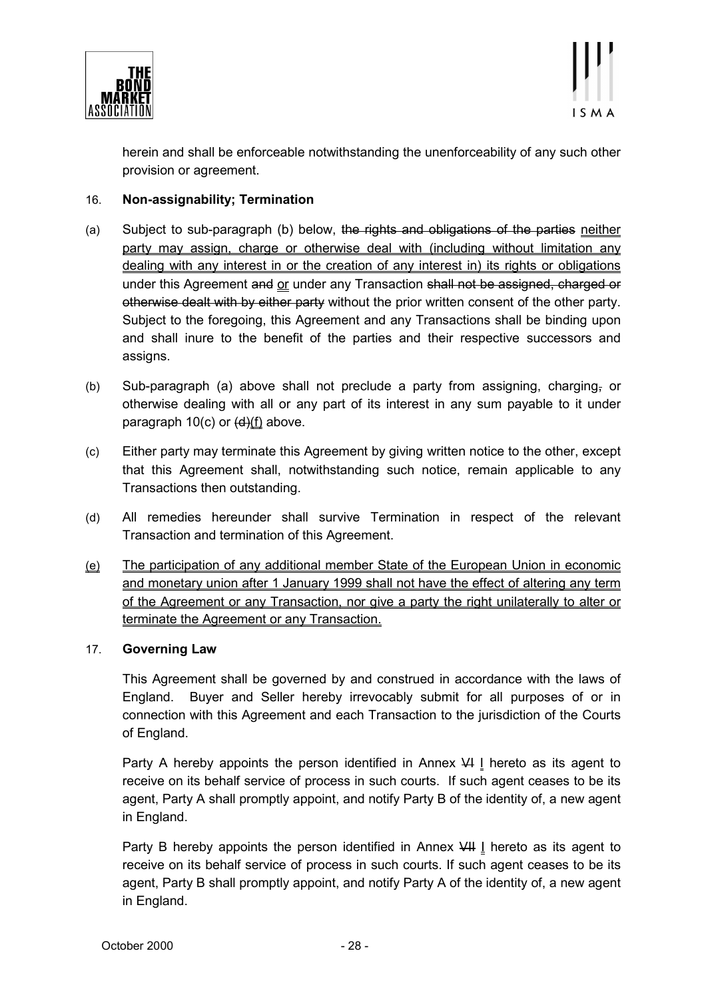

herein and shall be enforceable notwithstanding the unenforceability of any such other provision or agreement.

#### 16. **Non-assignability; Termination**

- (a) Subject to sub-paragraph (b) below, the rights and obligations of the parties neither party may assign, charge or otherwise deal with (including without limitation any dealing with any interest in or the creation of any interest in) its rights or obligations under this Agreement and or under any Transaction shall not be assigned, charged or otherwise dealt with by either party without the prior written consent of the other party. Subject to the foregoing, this Agreement and any Transactions shall be binding upon and shall inure to the benefit of the parties and their respective successors and assigns.
- (b) Sub-paragraph (a) above shall not preclude a party from assigning, charging, or otherwise dealing with all or any part of its interest in any sum payable to it under paragraph  $10(c)$  or  $\frac{d}{d}f$  above.
- (c) Either party may terminate this Agreement by giving written notice to the other, except that this Agreement shall, notwithstanding such notice, remain applicable to any Transactions then outstanding.
- (d) All remedies hereunder shall survive Termination in respect of the relevant Transaction and termination of this Agreement.
- (e) The participation of any additional member State of the European Union in economic and monetary union after 1 January 1999 shall not have the effect of altering any term of the Agreement or any Transaction, nor give a party the right unilaterally to alter or terminate the Agreement or any Transaction.

#### 17. **Governing Law**

This Agreement shall be governed by and construed in accordance with the laws of England. Buyer and Seller hereby irrevocably submit for all purposes of or in connection with this Agreement and each Transaction to the jurisdiction of the Courts of England.

Party A hereby appoints the person identified in Annex VI I hereto as its agent to receive on its behalf service of process in such courts. If such agent ceases to be its agent, Party A shall promptly appoint, and notify Party B of the identity of, a new agent in England.

Party B hereby appoints the person identified in Annex VII I hereto as its agent to receive on its behalf service of process in such courts. If such agent ceases to be its agent, Party B shall promptly appoint, and notify Party A of the identity of, a new agent in England.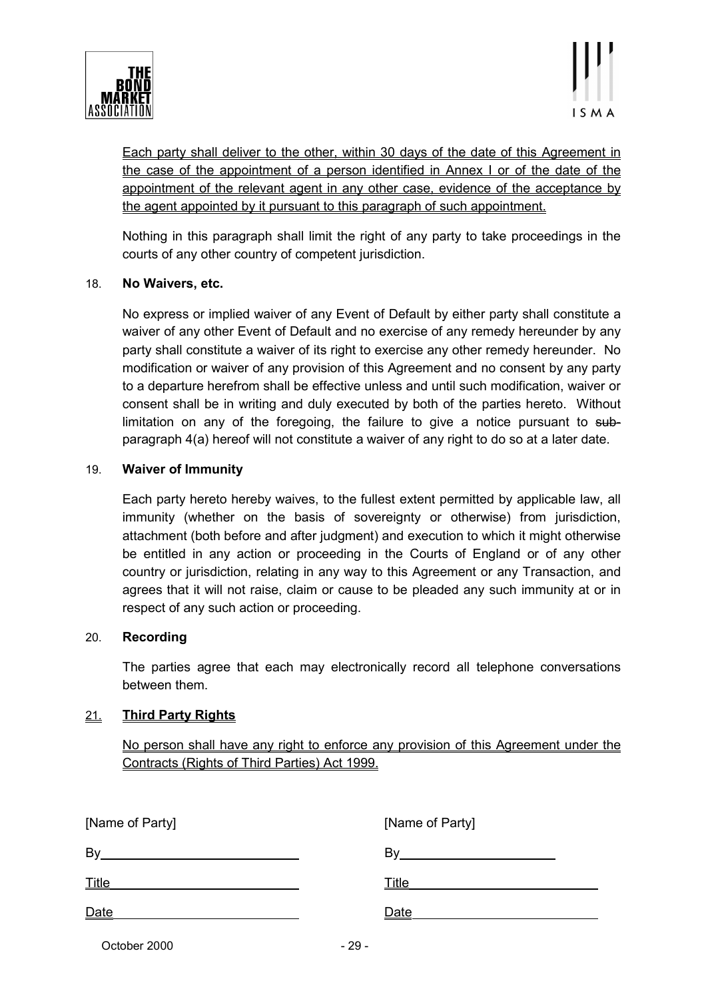

Each party shall deliver to the other, within 30 days of the date of this Agreement in the case of the appointment of a person identified in Annex I or of the date of the appointment of the relevant agent in any other case, evidence of the acceptance by the agent appointed by it pursuant to this paragraph of such appointment.

Nothing in this paragraph shall limit the right of any party to take proceedings in the courts of any other country of competent jurisdiction.

#### 18. **No Waivers, etc.**

No express or implied waiver of any Event of Default by either party shall constitute a waiver of any other Event of Default and no exercise of any remedy hereunder by any party shall constitute a waiver of its right to exercise any other remedy hereunder. No modification or waiver of any provision of this Agreement and no consent by any party to a departure herefrom shall be effective unless and until such modification, waiver or consent shall be in writing and duly executed by both of the parties hereto. Without limitation on any of the foregoing, the failure to give a notice pursuant to subparagraph 4(a) hereof will not constitute a waiver of any right to do so at a later date.

#### 19. **Waiver of Immunity**

Each party hereto hereby waives, to the fullest extent permitted by applicable law, all immunity (whether on the basis of sovereignty or otherwise) from jurisdiction, attachment (both before and after judgment) and execution to which it might otherwise be entitled in any action or proceeding in the Courts of England or of any other country or jurisdiction, relating in any way to this Agreement or any Transaction, and agrees that it will not raise, claim or cause to be pleaded any such immunity at or in respect of any such action or proceeding.

#### 20. **Recording**

The parties agree that each may electronically record all telephone conversations between them.

#### 21. **Third Party Rights**

No person shall have any right to enforce any provision of this Agreement under the Contracts (Rights of Third Parties) Act 1999.

| [Name of Party] | [Name of Party] |
|-----------------|-----------------|
| By              | Bv              |
| <u>Title</u>    | <u>Title</u>    |
| Date            | <u>Date</u>     |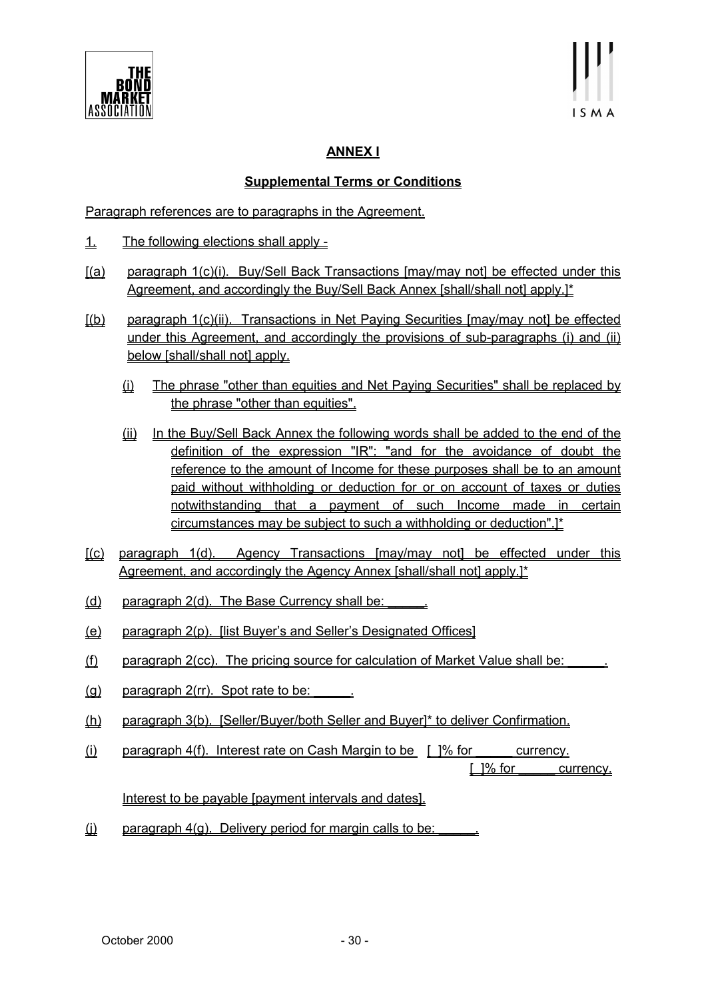

## **ANNEX I**

## **Supplemental Terms or Conditions**

Paragraph references are to paragraphs in the Agreement.

- 1. The following elections shall apply -
- [(a) paragraph 1(c)(i). Buy/Sell Back Transactions [may/may not] be effected under this Agreement, and accordingly the Buy/Sell Back Annex [shall/shall not] apply.]\*
- [(b) paragraph 1(c)(ii). Transactions in Net Paying Securities [may/may not] be effected under this Agreement, and accordingly the provisions of sub-paragraphs (i) and (ii) below [shall/shall not] apply.
	- (i) The phrase "other than equities and Net Paying Securities" shall be replaced by the phrase "other than equities".
	- (ii) In the Buy/Sell Back Annex the following words shall be added to the end of the definition of the expression "IR": "and for the avoidance of doubt the reference to the amount of Income for these purposes shall be to an amount paid without withholding or deduction for or on account of taxes or duties notwithstanding that a payment of such Income made in certain circumstances may be subject to such a withholding or deduction".]\*
- [(c) paragraph 1(d). Agency Transactions [may/may not] be effected under this Agreement, and accordingly the Agency Annex [shall/shall not] apply.]\*
- (d) paragraph 2(d). The Base Currency shall be:
- (e) paragraph 2(p). [list Buyer's and Seller's Designated Offices]
- (f) paragraph  $2$ (cc). The pricing source for calculation of Market Value shall be:
- (g) paragraph  $2$ (rr). Spot rate to be:
- (h) paragraph 3(b). [Seller/Buyer/both Seller and Buyer]\* to deliver Confirmation.
- (i) paragraph 4(f). Interest rate on Cash Margin to be  $\lceil 1\% \rceil$  for currency. [  $\frac{1}{6}$  for currency.

#### Interest to be payable [payment intervals and dates].

(i) paragraph  $4(q)$ . Delivery period for margin calls to be: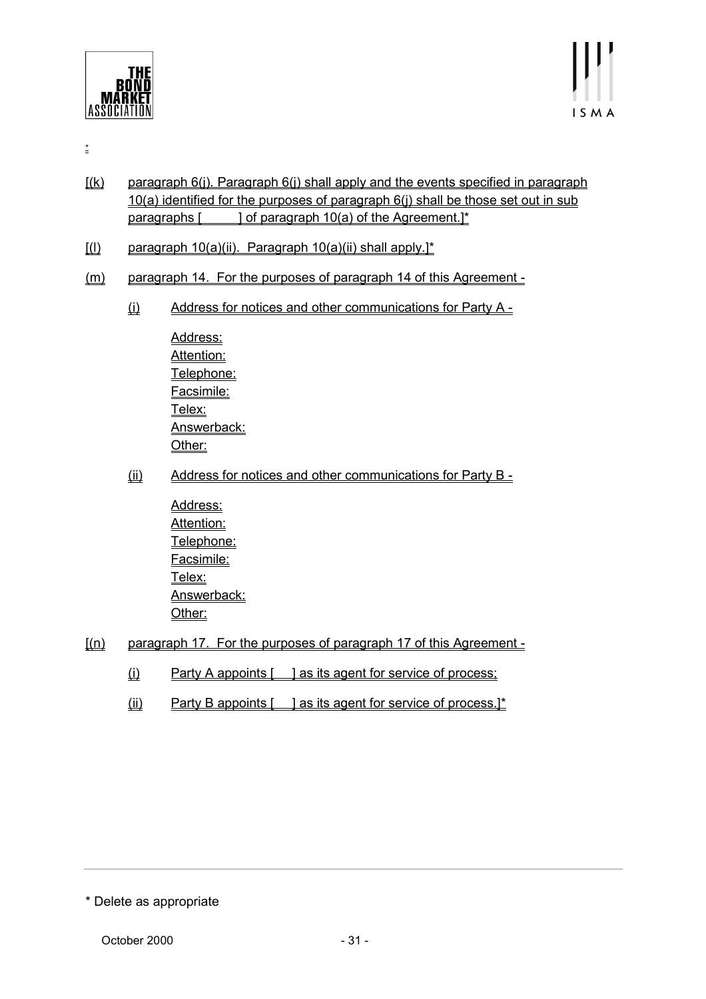



\*

- $[(k]$  paragraph 6(j). Paragraph 6(j) shall apply and the events specified in paragraph 10(a) identified for the purposes of paragraph 6(j) shall be those set out in sub paragraphs  $\lceil \cdot \cdot \rceil$  of paragraph 10(a) of the Agreement.
- $[(1)$  paragraph 10(a)(ii). Paragraph 10(a)(ii) shall apply.]\*
- (m) paragraph 14. For the purposes of paragraph 14 of this Agreement -
	- (i) Address for notices and other communications for Party A -

Address: Attention: Telephone: Facsimile: Telex: Answerback: Other:

- (ii) Address for notices and other communications for Party B
	- Address: Attention: Telephone: Facsimile: Telex: Answerback: Other:
- $[(n)$  paragraph 17. For the purposes of paragraph 17 of this Agreement -
	- (i) Party A appoints [ ] as its agent for service of process;
	- $(iii)$  Party B appoints  $[i]$  as its agent for service of process.]\*

\* Delete as appropriate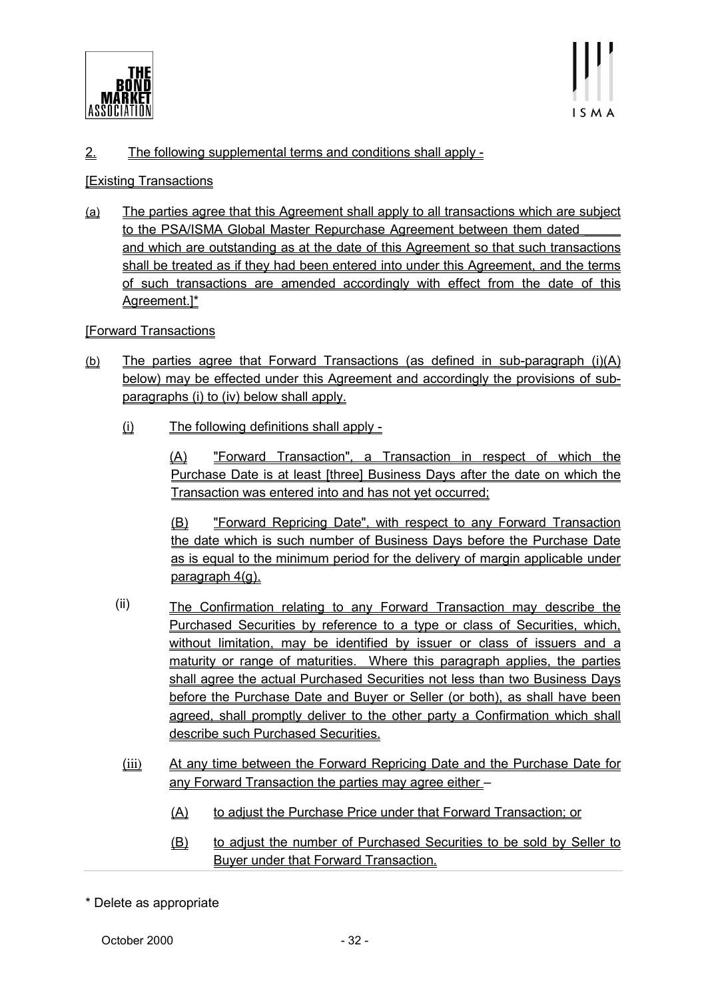

## 2. The following supplemental terms and conditions shall apply -

## [Existing Transactions

(a) The parties agree that this Agreement shall apply to all transactions which are subject to the PSA/ISMA Global Master Repurchase Agreement between them dated and which are outstanding as at the date of this Agreement so that such transactions shall be treated as if they had been entered into under this Agreement, and the terms of such transactions are amended accordingly with effect from the date of this Agreement.]\*

## [Forward Transactions

- (b) The parties agree that Forward Transactions (as defined in sub-paragraph (i)(A) below) may be effected under this Agreement and accordingly the provisions of subparagraphs (i) to (iv) below shall apply.
	- (i) The following definitions shall apply -

(A) "Forward Transaction", a Transaction in respect of which the Purchase Date is at least [three] Business Days after the date on which the Transaction was entered into and has not yet occurred;

(B) "Forward Repricing Date", with respect to any Forward Transaction the date which is such number of Business Days before the Purchase Date as is equal to the minimum period for the delivery of margin applicable under paragraph 4(g).

- The Confirmation relating to any Forward Transaction may describe the Purchased Securities by reference to a type or class of Securities, which, without limitation, may be identified by issuer or class of issuers and a maturity or range of maturities. Where this paragraph applies, the parties shall agree the actual Purchased Securities not less than two Business Days before the Purchase Date and Buyer or Seller (or both), as shall have been agreed, shall promptly deliver to the other party a Confirmation which shall describe such Purchased Securities. (ii)
- (iii) At any time between the Forward Repricing Date and the Purchase Date for any Forward Transaction the parties may agree either –
	- (A) to adjust the Purchase Price under that Forward Transaction; or
	- (B) to adjust the number of Purchased Securities to be sold by Seller to Buyer under that Forward Transaction.

<sup>\*</sup> Delete as appropriate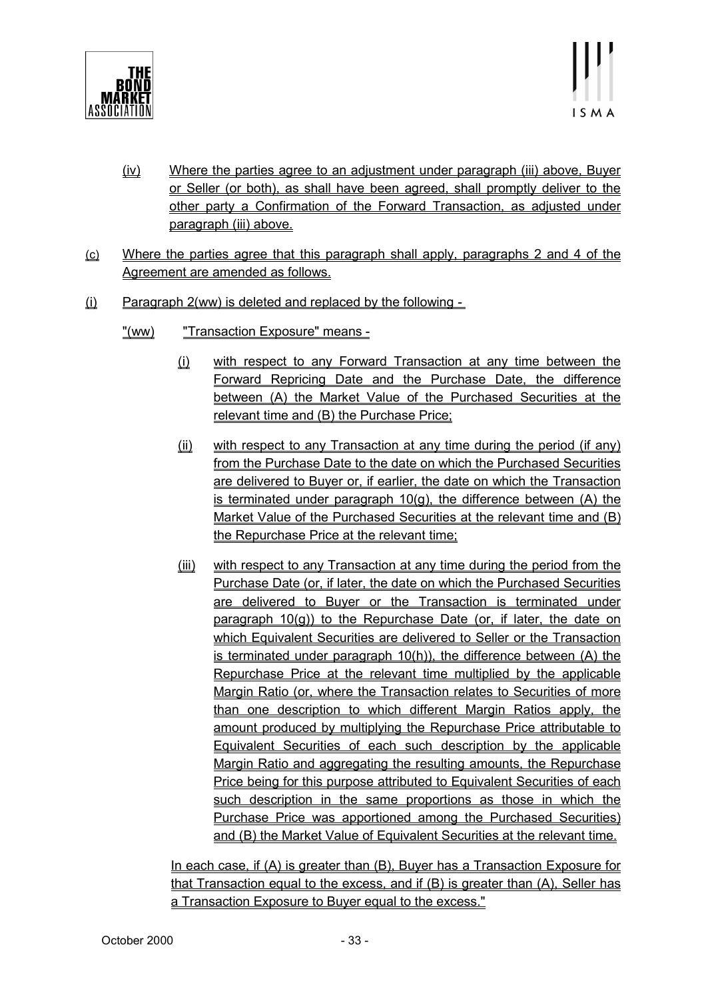

- (iv) Where the parties agree to an adjustment under paragraph (iii) above, Buyer or Seller (or both), as shall have been agreed, shall promptly deliver to the other party a Confirmation of the Forward Transaction, as adjusted under paragraph (iii) above.
- (c) Where the parties agree that this paragraph shall apply, paragraphs 2 and 4 of the Agreement are amended as follows.
- (i) Paragraph 2(ww) is deleted and replaced by the following
	- "(ww) "Transaction Exposure" means
		- (i) with respect to any Forward Transaction at any time between the Forward Repricing Date and the Purchase Date, the difference between (A) the Market Value of the Purchased Securities at the relevant time and (B) the Purchase Price;
		- (ii) with respect to any Transaction at any time during the period (if any) from the Purchase Date to the date on which the Purchased Securities are delivered to Buyer or, if earlier, the date on which the Transaction is terminated under paragraph  $10(q)$ , the difference between  $(A)$  the Market Value of the Purchased Securities at the relevant time and (B) the Repurchase Price at the relevant time;
		- (iii) with respect to any Transaction at any time during the period from the Purchase Date (or, if later, the date on which the Purchased Securities are delivered to Buyer or the Transaction is terminated under paragraph 10(g)) to the Repurchase Date (or, if later, the date on which Equivalent Securities are delivered to Seller or the Transaction is terminated under paragraph 10(h)), the difference between (A) the Repurchase Price at the relevant time multiplied by the applicable Margin Ratio (or, where the Transaction relates to Securities of more than one description to which different Margin Ratios apply, the amount produced by multiplying the Repurchase Price attributable to Equivalent Securities of each such description by the applicable Margin Ratio and aggregating the resulting amounts, the Repurchase Price being for this purpose attributed to Equivalent Securities of each such description in the same proportions as those in which the Purchase Price was apportioned among the Purchased Securities) and (B) the Market Value of Equivalent Securities at the relevant time.

In each case, if (A) is greater than (B), Buyer has a Transaction Exposure for that Transaction equal to the excess, and if (B) is greater than (A), Seller has a Transaction Exposure to Buver equal to the excess."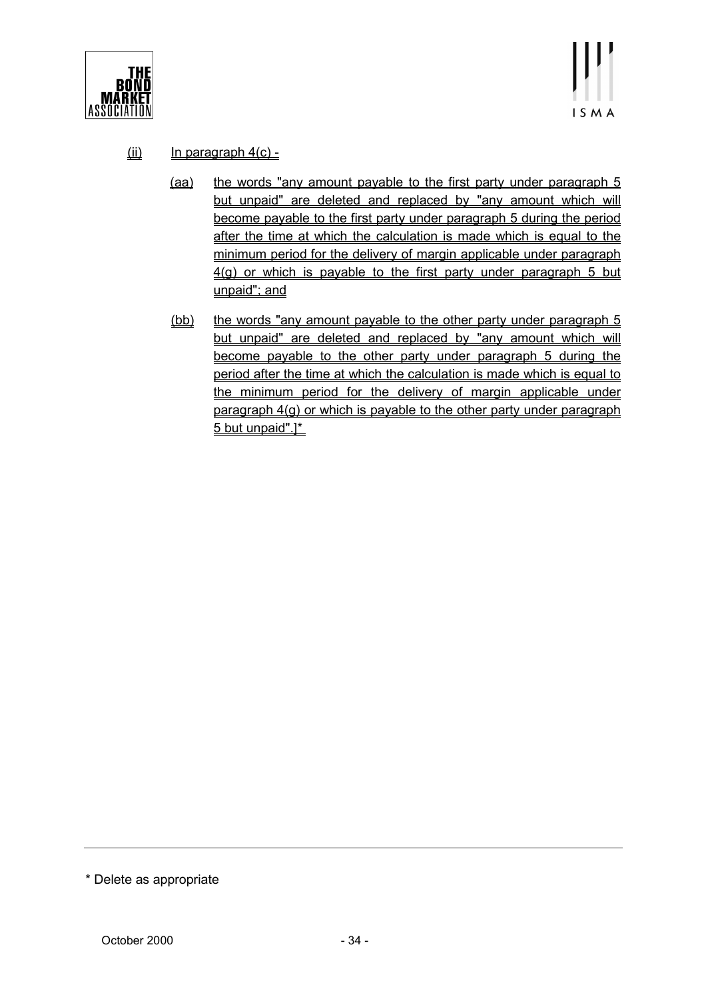

## $(ii)$  In paragraph  $4(c)$  -

- (aa) the words "any amount payable to the first party under paragraph 5 but unpaid" are deleted and replaced by "any amount which will become payable to the first party under paragraph 5 during the period after the time at which the calculation is made which is equal to the minimum period for the delivery of margin applicable under paragraph 4(g) or which is payable to the first party under paragraph 5 but unpaid"; and
- (bb) the words "any amount payable to the other party under paragraph 5 but unpaid" are deleted and replaced by "any amount which will become payable to the other party under paragraph 5 during the period after the time at which the calculation is made which is equal to the minimum period for the delivery of margin applicable under paragraph 4(g) or which is payable to the other party under paragraph 5 but unpaid".]\* <sup>∗</sup>

\* Delete as appropriate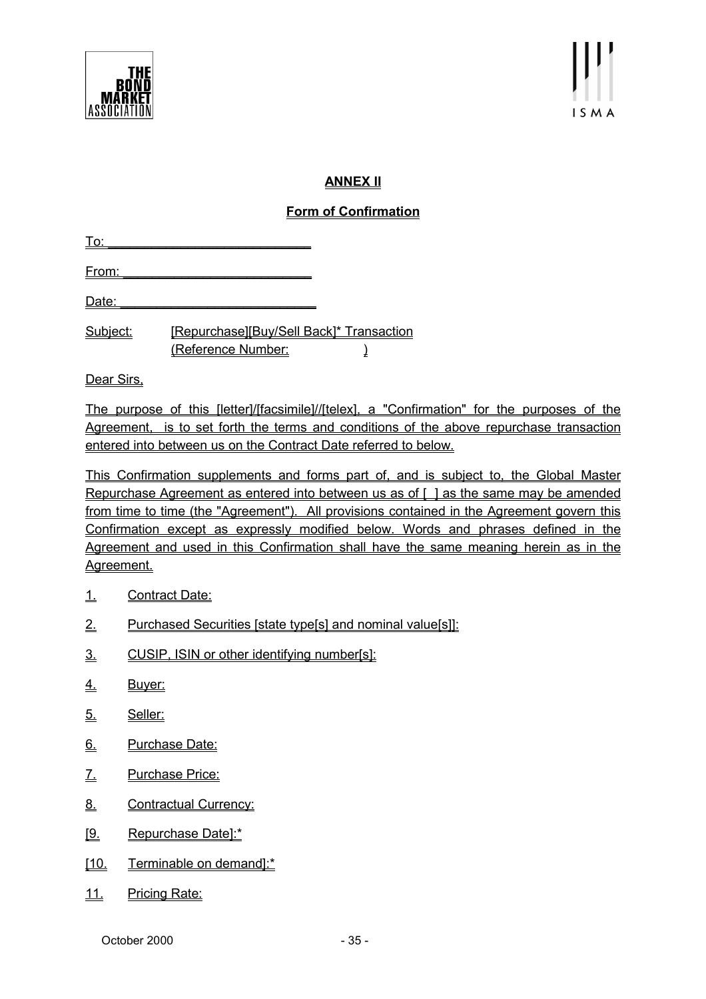

# **ANNEX II**

# **Form of Confirmation**

To: \_\_\_\_\_\_\_\_\_\_\_\_\_\_\_\_\_\_\_\_\_\_\_\_\_\_\_\_

From:

Date:

Subject: [Repurchase][Buy/Sell Back]\* Transaction (Reference Number: )

Dear Sirs,

The purpose of this [letter]/[facsimile]//[telex], a "Confirmation" for the purposes of the Agreement, is to set forth the terms and conditions of the above repurchase transaction entered into between us on the Contract Date referred to below.

This Confirmation supplements and forms part of, and is subject to, the Global Master Repurchase Agreement as entered into between us as of [ ] as the same may be amended from time to time (the "Agreement"). All provisions contained in the Agreement govern this Confirmation except as expressly modified below. Words and phrases defined in the Agreement and used in this Confirmation shall have the same meaning herein as in the Agreement.

- 1. Contract Date:
- 2. Purchased Securities [state type[s] and nominal value[s]]:
- 3. CUSIP, ISIN or other identifying number[s]:
- 4. Buyer:
- 5. Seller:
- 6. Purchase Date:
- 7. Purchase Price:
- 8. Contractual Currency:
- [9. Repurchase Date]:\*
- [10. Terminable on demand]:\*
- 11. Pricing Rate: